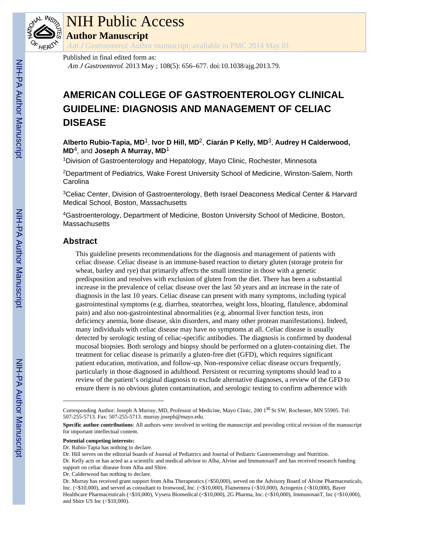

# NIH Public Access

**Author Manuscript**

Am J Gastroenterol. Author manuscript; available in PMC 2014 May 01.

## Published in final edited form as:

Am J Gastroenterol. 2013 May ; 108(5): 656–677. doi:10.1038/ajg.2013.79.

## **AMERICAN COLLEGE OF GASTROENTEROLOGY CLINICAL GUIDELINE: DIAGNOSIS AND MANAGEMENT OF CELIAC DISEASE**

**Alberto Rubio-Tapia, MD**1, **Ivor D Hill, MD**2, **Ciarán P Kelly, MD**3, **Audrey H Calderwood, MD**4, and **Joseph A Murray, MD**<sup>1</sup>

<sup>1</sup>Division of Gastroenterology and Hepatology, Mayo Clinic, Rochester, Minnesota

<sup>2</sup>Department of Pediatrics, Wake Forest University School of Medicine, Winston-Salem, North Carolina

<sup>3</sup>Celiac Center, Division of Gastroenterology, Beth Israel Deaconess Medical Center & Harvard Medical School, Boston, Massachusetts

<sup>4</sup>Gastroenterology, Department of Medicine, Boston University School of Medicine, Boston, **Massachusetts** 

## **Abstract**

This guideline presents recommendations for the diagnosis and management of patients with celiac disease. Celiac disease is an immune-based reaction to dietary gluten (storage protein for wheat, barley and rye) that primarily affects the small intestine in those with a genetic predisposition and resolves with exclusion of gluten from the diet. There has been a substantial increase in the prevalence of celiac disease over the last 50 years and an increase in the rate of diagnosis in the last 10 years. Celiac disease can present with many symptoms, including typical gastrointestinal symptoms (e.g. diarrhea, steatorrhea, weight loss, bloating, flatulence, abdominal pain) and also non-gastrointestinal abnormalities (e.g. abnormal liver function tests, iron deficiency anemia, bone disease, skin disorders, and many other protean manifestations). Indeed, many individuals with celiac disease may have no symptoms at all. Celiac disease is usually detected by serologic testing of celiac-specific antibodies. The diagnosis is confirmed by duodenal mucosal biopsies. Both serology and biopsy should be performed on a gluten-containing diet. The treatment for celiac disease is primarily a gluten-free diet (GFD), which requires significant patient education, motivation, and follow-up. Non-responsive celiac disease occurs frequently, particularly in those diagnosed in adulthood. Persistent or recurring symptoms should lead to a review of the patient's original diagnosis to exclude alternative diagnoses, a review of the GFD to ensure there is no obvious gluten contamination, and serologic testing to confirm adherence with

Dr. Calderwood has nothing to declare.

Corresponding Author: Joseph A Murray, MD, Professor of Medicine, Mayo Clinic, 200 1<sup>st</sup> St SW, Rochester, MN 55905. Tel: 507-255-5713. Fax: 507-255-5713. murray.joseph@mayo.edu.

**Specific author contributions**: All authors were involved in writing the manuscript and providing critical revision of the manuscript for important intellectual content.

**Potential competing interests:**

Dr. Rubio-Tapia has nothing to declare.

Dr. Hill serves on the editorial boards of Journal of Pediatrics and Journal of Pediatric Gastroenterology and Nutrition. Dr. Kelly acts or has acted as a scientific and medical advisor to Alba, Alvine and ImmunosanT and has received research funding support on celiac disease from Alba and Shire.

Dr. Murray has received grant support from Alba Therapeutics (>\$50,000), served on the Advisory Board of Alvine Pharmaceuticals, Inc. (<\$10,000), and served as consultant to Ironwood, Inc. (<\$10,000), Flamentera (<\$10,000), Actogenix (<\$10,000), Bayer Healthcare Pharmaceuticals (<\$10,000), Vysera Biomedical (<\$10,000), 2G Pharma, Inc. (<\$10,000), ImmunosanT, Inc (<\$10,000), and Shire US Inc (<\$10,000).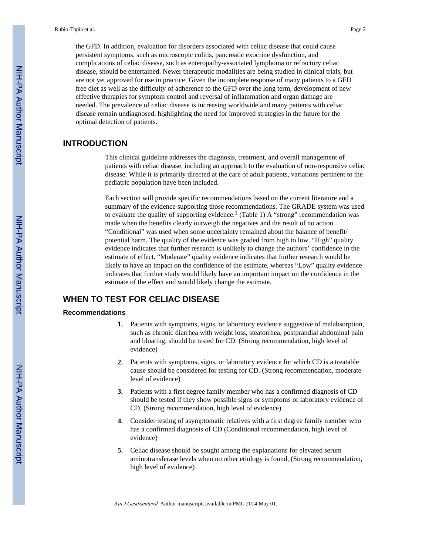the GFD. In addition, evaluation for disorders associated with celiac disease that could cause persistent symptoms, such as microscopic colitis, pancreatic exocrine dysfunction, and complications of celiac disease, such as enteropathy-associated lymphoma or refractory celiac disease, should be entertained. Newer therapeutic modalities are being studied in clinical trials, but are not yet approved for use in practice. Given the incomplete response of many patients to a GFD free diet as well as the difficulty of adherence to the GFD over the long term, development of new effective therapies for symptom control and reversal of inflammation and organ damage are needed. The prevalence of celiac disease is increasing worldwide and many patients with celiac disease remain undiagnosed, highlighting the need for improved strategies in the future for the optimal detection of patients.

## **INTRODUCTION**

This clinical guideline addresses the diagnosis, treatment, and overall management of patients with celiac disease, including an approach to the evaluation of non-responsive celiac disease. While it is primarily directed at the care of adult patients, variations pertinent to the pediatric population have been included.

Each section will provide specific recommendations based on the current literature and a summary of the evidence supporting those recommendations. The GRADE system was used to evaluate the quality of supporting evidence.<sup>1</sup> (Table 1) A "strong" recommendation was made when the benefits clearly outweigh the negatives and the result of no action. "Conditional" was used when some uncertainty remained about the balance of benefit/ potential harm. The quality of the evidence was graded from high to low. "High" quality evidence indicates that further research is unlikely to change the authors' confidence in the estimate of effect. "Moderate" quality evidence indicates that further research would be likely to have an impact on the confidence of the estimate, whereas "Low" quality evidence indicates that further study would likely have an important impact on the confidence in the estimate of the effect and would likely change the estimate.

## **WHEN TO TEST FOR CELIAC DISEASE**

#### **Recommendations**

- **1.** Patients with symptoms, signs, or laboratory evidence suggestive of malabsorption, such as chronic diarrhea with weight loss, steatorrhea, postprandial abdominal pain and bloating, should be tested for CD. (Strong recommendation, high level of evidence)
- **2.** Patients with symptoms, signs, or laboratory evidence for which CD is a treatable cause should be considered for testing for CD. (Strong recommendation, moderate level of evidence)
- **3.** Patients with a first degree family member who has a confirmed diagnosis of CD should be tested if they show possible signs or symptoms or laboratory evidence of CD. (Strong recommendation, high level of evidence)
- **4.** Consider testing of asymptomatic relatives with a first degree family member who has a confirmed diagnosis of CD (Conditional recommendation, high level of evidence)
- **5.** Celiac disease should be sought among the explanations for elevated serum aminotransferase levels when no other etiology is found, (Strong recommendation, high level of evidence)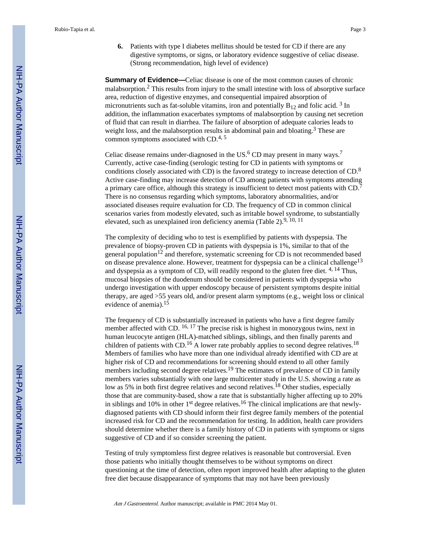**6.** Patients with type I diabetes mellitus should be tested for CD if there are any digestive symptoms, or signs, or laboratory evidence suggestive of celiac disease. (Strong recommendation, high level of evidence)

**Summary of Evidence—**Celiac disease is one of the most common causes of chronic malabsorption.<sup>2</sup> This results from injury to the small intestine with loss of absorptive surface area, reduction of digestive enzymes, and consequential impaired absorption of micronutrients such as fat-soluble vitamins, iron and potentially  $B_{12}$  and folic acid.<sup>3</sup> In addition, the inflammation exacerbates symptoms of malabsorption by causing net secretion of fluid that can result in diarrhea. The failure of absorption of adequate calories leads to weight loss, and the malabsorption results in abdominal pain and bloating.<sup>3</sup> These are common symptoms associated with CD.4, 5

Celiac disease remains under-diagnosed in the US. $<sup>6</sup>$ CD may present in many ways.<sup>7</sup></sup> Currently, active case-finding (serologic testing for CD in patients with symptoms or conditions closely associated with CD) is the favored strategy to increase detection of CD.<sup>8</sup> Active case-finding may increase detection of CD among patients with symptoms attending a primary care office, although this strategy is insufficient to detect most patients with CD.<sup>7</sup> There is no consensus regarding which symptoms, laboratory abnormalities, and/or associated diseases require evaluation for CD. The frequency of CD in common clinical scenarios varies from modestly elevated, such as irritable bowel syndrome, to substantially elevated, such as unexplained iron deficiency anemia (Table 2).<sup>9, 10, 11</sup>

The complexity of deciding who to test is exemplified by patients with dyspepsia. The prevalence of biopsy-proven CD in patients with dyspepsia is 1%, similar to that of the general population<sup>12</sup> and therefore, systematic screening for CD is not recommended based on disease prevalence alone. However, treatment for dyspepsia can be a clinical challenge<sup>13</sup> and dyspepsia as a symptom of CD, will readily respond to the gluten free diet.  $4$ ,  $14$  Thus, mucosal biopsies of the duodenum should be considered in patients with dyspepsia who undergo investigation with upper endoscopy because of persistent symptoms despite initial therapy, are aged >55 years old, and/or present alarm symptoms (e.g., weight loss or clinical evidence of anemia).<sup>15</sup>

The frequency of CD is substantially increased in patients who have a first degree family member affected with CD.  $16$ ,  $17$  The precise risk is highest in monozygous twins, next in human leucocyte antigen (HLA)-matched siblings, siblings, and then finally parents and children of patients with CD.<sup>16</sup> A lower rate probably applies to second degree relatives.<sup>18</sup> Members of families who have more than one individual already identified with CD are at higher risk of CD and recommendations for screening should extend to all other family members including second degree relatives.19 The estimates of prevalence of CD in family members varies substantially with one large multicenter study in the U.S. showing a rate as low as 5% in both first degree relatives and second relatives.<sup>18</sup> Other studies, especially those that are community-based, show a rate that is substantially higher affecting up to 20% in siblings and 10% in other  $1<sup>st</sup>$  degree relatives.<sup>16</sup> The clinical implications are that newlydiagnosed patients with CD should inform their first degree family members of the potential increased risk for CD and the recommendation for testing. In addition, health care providers should determine whether there is a family history of CD in patients with symptoms or signs suggestive of CD and if so consider screening the patient.

Testing of truly symptomless first degree relatives is reasonable but controversial. Even those patients who initially thought themselves to be without symptoms on direct questioning at the time of detection, often report improved health after adapting to the gluten free diet because disappearance of symptoms that may not have been previously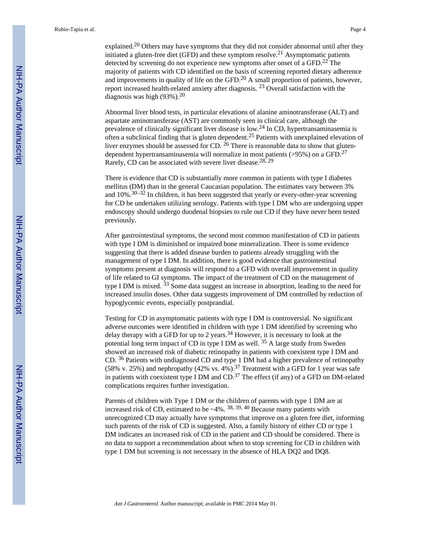explained.<sup>20</sup> Others may have symptoms that they did not consider abnormal until after they initiated a gluten-free diet (GFD) and these symptom resolve.<sup>21</sup> Asymptomatic patients detected by screening do not experience new symptoms after onset of a  $GFD<sup>22</sup>$ . The majority of patients with CD identified on the basis of screening reported dietary adherence and improvements in quality of life on the GFD. $^{20}$  A small proportion of patients, however, report increased health-related anxiety after diagnosis. 23 Overall satisfaction with the diagnosis was high  $(93\%)$ .<sup>20</sup>

Abnormal liver blood tests, in particular elevations of alanine aminotransferase (ALT) and aspartate aminotransferase (AST) are commonly seen in clinical care, although the prevalence of clinically significant liver disease is low.24 In CD, hypertransaminasemia is often a subclinical finding that is gluten dependent.<sup>25</sup> Patients with unexplained elevation of liver enzymes should be assessed for CD.  $^{26}$  There is reasonable data to show that glutendependent hypertransaminasemia will normalize in most patients ( $>95\%$ ) on a GFD.<sup>27</sup> Rarely, CD can be associated with severe liver disease.28, 29

There is evidence that CD is substantially more common in patients with type I diabetes mellitus (DM) than in the general Caucasian population. The estimates vary between 3% and  $10\%$ .<sup>30–32</sup> In children, it has been suggested that yearly or every-other-year screening for CD be undertaken utilizing serology. Patients with type I DM who are undergoing upper endoscopy should undergo duodenal biopsies to rule out CD if they have never been tested previously.

After gastrointestinal symptoms, the second most common manifestation of CD in patients with type I DM is diminished or impaired bone mineralization. There is some evidence suggesting that there is added disease burden to patients already struggling with the management of type I DM. In addition, there is good evidence that gastrointestinal symptoms present at diagnosis will respond to a GFD with overall improvement in quality of life related to GI symptoms. The impact of the treatment of CD on the management of type I DM is mixed.  $33$  Some data suggest an increase in absorption, leading to the need for increased insulin doses. Other data suggests improvement of DM controlled by reduction of hypoglycemic events, especially postprandial.

Testing for CD in asymptomatic patients with type I DM is controversial. No significant adverse outcomes were identified in children with type 1 DM identified by screening who delay therapy with a GFD for up to 2 years.<sup>34</sup> However, it is necessary to look at the potential long term impact of CD in type I DM as well. 35 A large study from Sweden showed an increased risk of diabetic retinopathy in patients with coexistent type I DM and CD. 36 Patients with undiagnosed CD and type 1 DM had a higher prevalence of retinopathy  $(58\% \text{ v. } 25\%)$  and nephropathy  $(42\% \text{ vs. } 4\%)$ .<sup>37</sup> Treatment with a GFD for 1 year was safe in patients with coexistent type I DM and  $CD$ .<sup>37</sup> The effect (if any) of a GFD on DM-related complications requires further investigation.

Parents of children with Type 1 DM or the children of parents with type 1 DM are at increased risk of CD, estimated to be ~4%. 38, 39, 40 Because many patients with unrecognized CD may actually have symptoms that improve on a gluten free diet, informing such parents of the risk of CD is suggested. Also, a family history of either CD or type 1 DM indicates an increased risk of CD in the patient and CD should be considered. There is no data to support a recommendation about when to stop screening for CD in children with type 1 DM but screening is not necessary in the absence of HLA DQ2 and DQ8.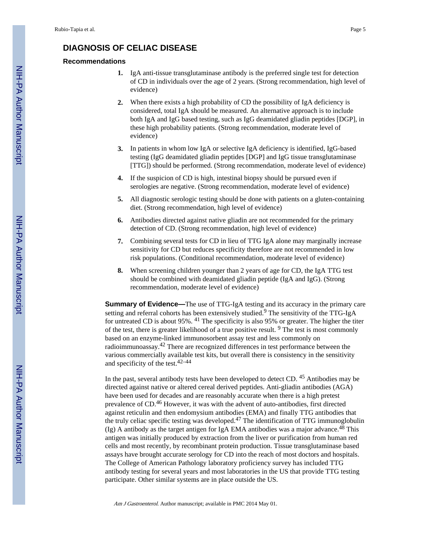## **DIAGNOSIS OF CELIAC DISEASE**

#### **Recommendations**

- **1.** IgA anti-tissue transglutaminase antibody is the preferred single test for detection of CD in individuals over the age of 2 years. (Strong recommendation, high level of evidence)
- **2.** When there exists a high probability of CD the possibility of IgA deficiency is considered, total IgA should be measured. An alternative approach is to include both IgA and IgG based testing, such as IgG deamidated gliadin peptides [DGP], in these high probability patients. (Strong recommendation, moderate level of evidence)
- **3.** In patients in whom low IgA or selective IgA deficiency is identified, IgG-based testing (IgG deamidated gliadin peptides [DGP] and IgG tissue transglutaminase [TTG]) should be performed. (Strong recommendation, moderate level of evidence)
- **4.** If the suspicion of CD is high, intestinal biopsy should be pursued even if serologies are negative. (Strong recommendation, moderate level of evidence)
- **5.** All diagnostic serologic testing should be done with patients on a gluten-containing diet. (Strong recommendation, high level of evidence)
- **6.** Antibodies directed against native gliadin are not recommended for the primary detection of CD. (Strong recommendation, high level of evidence)
- **7.** Combining several tests for CD in lieu of TTG IgA alone may marginally increase sensitivity for CD but reduces specificity therefore are not recommended in low risk populations. (Conditional recommendation, moderate level of evidence)
- **8.** When screening children younger than 2 years of age for CD, the IgA TTG test should be combined with deamidated gliadin peptide (IgA and IgG). (Strong recommendation, moderate level of evidence)

**Summary of Evidence—**The use of TTG-IgA testing and its accuracy in the primary care setting and referral cohorts has been extensively studied.<sup>9</sup> The sensitivity of the TTG-IgA for untreated CD is about 95%. 41 The specificity is also 95% or greater. The higher the titer of the test, there is greater likelihood of a true positive result. <sup>9</sup> The test is most commonly based on an enzyme-linked immunosorbent assay test and less commonly on radioimmunoassay.42 There are recognized differences in test performance between the various commercially available test kits, but overall there is consistency in the sensitivity and specificity of the test.42–44

In the past, several antibody tests have been developed to detect CD. 45 Antibodies may be directed against native or altered cereal derived peptides. Anti-gliadin antibodies (AGA) have been used for decades and are reasonably accurate when there is a high pretest prevalence of CD.46 However, it was with the advent of auto-antibodies, first directed against reticulin and then endomysium antibodies (EMA) and finally TTG antibodies that the truly celiac specific testing was developed.47 The identification of TTG immunoglobulin (Ig) A antibody as the target antigen for IgA EMA antibodies was a major advance.<sup>48</sup> This antigen was initially produced by extraction from the liver or purification from human red cells and most recently, by recombinant protein production. Tissue transglutaminase based assays have brought accurate serology for CD into the reach of most doctors and hospitals. The College of American Pathology laboratory proficiency survey has included TTG antibody testing for several years and most laboratories in the US that provide TTG testing participate. Other similar systems are in place outside the US.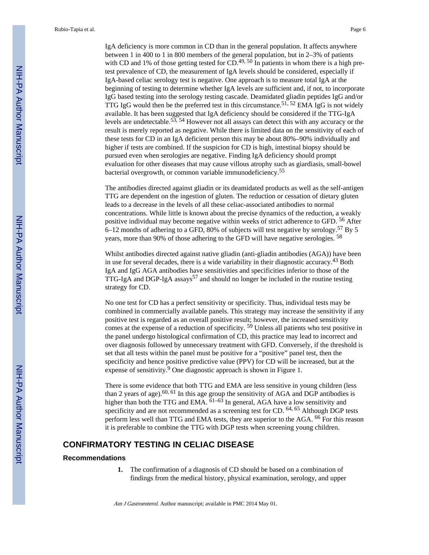IgA deficiency is more common in CD than in the general population. It affects anywhere between 1 in 400 to 1 in 800 members of the general population, but in 2–3% of patients with CD and 1% of those getting tested for  $CD<sup>49, 50</sup>$  In patients in whom there is a high pretest prevalence of CD, the measurement of IgA levels should be considered, especially if IgA-based celiac serology test is negative. One approach is to measure total IgA at the beginning of testing to determine whether IgA levels are sufficient and, if not, to incorporate IgG based testing into the serology testing cascade. Deamidated gliadin peptides IgG and/or TTG IgG would then be the preferred test in this circumstance.51, 52 EMA IgG is not widely available. It has been suggested that IgA deficiency should be considered if the TTG-IgA levels are undetectable.53, 54 However not all assays can detect this with any accuracy or the result is merely reported as negative. While there is limited data on the sensitivity of each of these tests for CD in an IgA deficient person this may be about 80%–90% individually and higher if tests are combined. If the suspicion for CD is high, intestinal biopsy should be pursued even when serologies are negative. Finding IgA deficiency should prompt evaluation for other diseases that may cause villous atrophy such as giardiasis, small-bowel

The antibodies directed against gliadin or its deamidated products as well as the self-antigen TTG are dependent on the ingestion of gluten. The reduction or cessation of dietary gluten leads to a decrease in the levels of all these celiac-associated antibodies to normal concentrations. While little is known about the precise dynamics of the reduction, a weakly positive individual may become negative within weeks of strict adherence to GFD. 56 After 6–12 months of adhering to a GFD, 80% of subjects will test negative by serology.57 By 5 years, more than 90% of those adhering to the GFD will have negative serologies. <sup>58</sup>

bacterial overgrowth, or common variable immunodeficiency.<sup>55</sup>

Whilst antibodies directed against native gliadin (anti-gliadin antibodies (AGA)) have been in use for several decades, there is a wide variability in their diagnostic accuracy.43 Both IgA and IgG AGA antibodies have sensitivities and specificities inferior to those of the  $TTG-IgA$  and DGP-IgA assays<sup>57</sup> and should no longer be included in the routine testing strategy for CD.

No one test for CD has a perfect sensitivity or specificity. Thus, individual tests may be combined in commercially available panels. This strategy may increase the sensitivity if any positive test is regarded as an overall positive result; however, the increased sensitivity comes at the expense of a reduction of specificity. 59 Unless all patients who test positive in the panel undergo histological confirmation of CD, this practice may lead to incorrect and over diagnosis followed by unnecessary treatment with GFD. Conversely, if the threshold is set that all tests within the panel must be positive for a "positive" panel test, then the specificity and hence positive predictive value (PPV) for CD will be increased, but at the expense of sensitivity.<sup>9</sup> One diagnostic approach is shown in Figure 1.

There is some evidence that both TTG and EMA are less sensitive in young children (less than 2 years of age). $60, 61$  In this age group the sensitivity of AGA and DGP antibodies is higher than both the TTG and EMA.  $61-63$  In general, AGA have a low sensitivity and specificity and are not recommended as a screening test for CD. <sup>64, 65</sup> Although DGP tests perform less well than TTG and EMA tests, they are superior to the AGA. 66 For this reason it is preferable to combine the TTG with DGP tests when screening young children.

## **CONFIRMATORY TESTING IN CELIAC DISEASE**

#### **Recommendations**

**1.** The confirmation of a diagnosis of CD should be based on a combination of findings from the medical history, physical examination, serology, and upper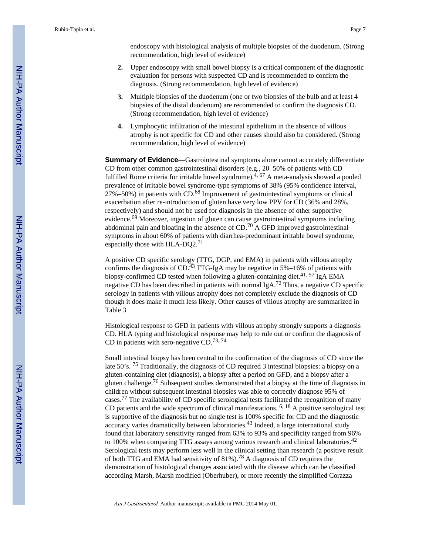- **2.** Upper endoscopy with small bowel biopsy is a critical component of the diagnostic evaluation for persons with suspected CD and is recommended to confirm the diagnosis. (Strong recommendation, high level of evidence)
- **3.** Multiple biopsies of the duodenum (one or two biopsies of the bulb and at least 4 biopsies of the distal duodenum) are recommended to confirm the diagnosis CD. (Strong recommendation, high level of evidence)
- **4.** Lymphocytic infiltration of the intestinal epithelium in the absence of villous atrophy is not specific for CD and other causes should also be considered. (Strong recommendation, high level of evidence)

**Summary of Evidence—**Gastrointestinal symptoms alone cannot accurately differentiate CD from other common gastrointestinal disorders (e.g., 20–50% of patients with CD fulfilled Rome criteria for irritable bowel syndrome).<sup>4, 67</sup> A meta-analysis showed a pooled prevalence of irritable bowel syndrome-type symptoms of 38% (95% confidence interval,  $27\% - 50\%$ ) in patients with CD.<sup>68</sup> Improvement of gastrointestinal symptoms or clinical exacerbation after re-introduction of gluten have very low PPV for CD (36% and 28%, respectively) and should not be used for diagnosis in the absence of other supportive evidence.<sup>69</sup> Moreover, ingestion of gluten can cause gastrointestinal symptoms including abdominal pain and bloating in the absence of CD.70 A GFD improved gastrointestinal symptoms in about 60% of patients with diarrhea-predominant irritable bowel syndrome, especially those with HLA-DQ2.<sup>71</sup>

A positive CD specific serology (TTG, DGP, and EMA) in patients with villous atrophy confirms the diagnosis of CD.<sup>43</sup> TTG-IgA may be negative in  $5\%$ –16% of patients with biopsy-confirmed CD tested when following a gluten-containing diet.<sup>41, 57</sup> IgA EMA negative CD has been described in patients with normal IgA.72 Thus, a negative CD specific serology in patients with villous atrophy does not completely exclude the diagnosis of CD though it does make it much less likely. Other causes of villous atrophy are summarized in Table 3

Histological response to GFD in patients with villous atrophy strongly supports a diagnosis CD. HLA typing and histological response may help to rule out or confirm the diagnosis of CD in patients with sero-negative CD.73, 74

Small intestinal biopsy has been central to the confirmation of the diagnosis of CD since the late 50's. 75 Traditionally, the diagnosis of CD required 3 intestinal biopsies: a biopsy on a gluten-containing diet (diagnosis), a biopsy after a period on GFD, and a biopsy after a gluten challenge.76 Subsequent studies demonstrated that a biopsy at the time of diagnosis in children without subsequent intestinal biopsies was able to correctly diagnose 95% of cases.77 The availability of CD specific serological tests facilitated the recognition of many CD patients and the wide spectrum of clinical manifestations. 6, 18 A positive serological test is supportive of the diagnosis but no single test is 100% specific for CD and the diagnostic accuracy varies dramatically between laboratories.<sup>43</sup> Indeed, a large international study found that laboratory sensitivity ranged from 63% to 93% and specificity ranged from 96% to 100% when comparing TTG assays among various research and clinical laboratories.<sup>42</sup> Serological tests may perform less well in the clinical setting than research (a positive result of both TTG and EMA had sensitivity of 81%).78 A diagnosis of CD requires the demonstration of histological changes associated with the disease which can be classified according Marsh, Marsh modified (Oberhuber), or more recently the simplified Corazza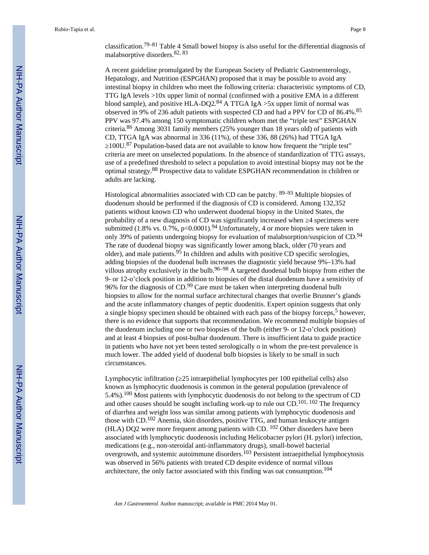classification.79–81 Table 4 Small bowel biopsy is also useful for the differential diagnosis of malabsorptive disorders.82, 83

A recent guideline promulgated by the European Society of Pediatric Gastroenterology, Hepatology, and Nutrition (ESPGHAN) proposed that it may be possible to avoid any intestinal biopsy in children who meet the following criteria: characteristic symptoms of CD, TTG IgA levels >10x upper limit of normal (confirmed with a positive EMA in a different blood sample), and positive HLA-DQ2.<sup>84</sup> A TTGA IgA >5x upper limit of normal was observed in 9% of 236 adult patients with suspected CD and had a PPV for CD of 86.4%.<sup>85</sup> PPV was 97.4% among 150 symptomatic children whom met the "triple test" ESPGHAN criteria.86 Among 3031 family members (25% younger than 18 years old) of patients with CD, TTGA IgA was abnormal in 336 (11%), of these 336, 88 (26%) had TTGA IgA

100U.<sup>87</sup> Population-based data are not available to know how frequent the "triple test" criteria are meet on unselected populations. In the absence of standardization of TTG assays, use of a predefined threshold to select a population to avoid intestinal biopsy may not be the optimal strategy.88 Prospective data to validate ESPGHAN recommendation in children or adults are lacking.

Histological abnormalities associated with CD can be patchy.  $89-93$  Multiple biopsies of duodenum should be performed if the diagnosis of CD is considered. Among 132,352 patients without known CD who underwent duodenal biopsy in the United States, the probability of a new diagnosis of CD was significantly increased when  $\,$  4 specimens were submitted (1.8% vs.  $0.7\%$ , p<0.0001).<sup>94</sup> Unfortunately, 4 or more biopsies were taken in only 39% of patients undergoing biopsy for evaluation of malabsorption/suspicion of CD.<sup>94</sup> The rate of duodenal biopsy was significantly lower among black, older (70 years and older), and male patients.<sup>95</sup> In children and adults with positive CD specific serologies, adding biopsies of the duodenal bulb increases the diagnostic yield because 9%–13% had villous atrophy exclusively in the bulb.96–98 A targeted duodenal bulb biopsy from either the 9- or 12-o'clock position in addition to biopsies of the distal duodenum have a sensitivity of 96% for the diagnosis of CD.99 Care must be taken when interpreting duodenal bulb biopsies to allow for the normal surface architectural changes that overlie Brunner's glands and the acute inflammatory changes of peptic duodenitis. Expert opinion suggests that only a single biopsy specimen should be obtained with each pass of the biopsy forceps,<sup>5</sup> however, there is no evidence that supports that recommendation. We recommend multiple biopsies of the duodenum including one or two biopsies of the bulb (either 9- or 12-o'clock position) and at least 4 biopsies of post-bulbar duodenum. There is insufficient data to guide practice in patients who have not yet been tested serologically o in whom the pre-test prevalence is much lower. The added yield of duodenal bulb biopsies is likely to be small in such circumstances.

Lymphocytic infiltration (≥25 intraepithelial lymphocytes per 100 epithelial cells) also known as lymphocytic duodenosis is common in the general population (prevalence of 5.4%).100 Most patients with lymphocytic duodenosis do not belong to the spectrum of CD and other causes should be sought including work-up to rule out  $\overline{CD}$ .<sup>101, 102</sup> The frequency of diarrhea and weight loss was similar among patients with lymphocytic duodenosis and those with CD.<sup>102</sup> Anemia, skin disorders, positive TTG, and human leukocyte antigen (HLA) DQ2 were more frequent among patients with CD. 102 Other disorders have been associated with lymphocytic duodenosis including Helicobacter pylori (H. pylori) infection, medications (e.g., non-steroidal anti-inflammatory drugs), small-bowel bacterial overgrowth, and systemic autoimmune disorders.<sup>103</sup> Persistent intraepithelial lymphocytosis was observed in 56% patients with treated CD despite evidence of normal villous architecture, the only factor associated with this finding was oat consumption.<sup>104</sup>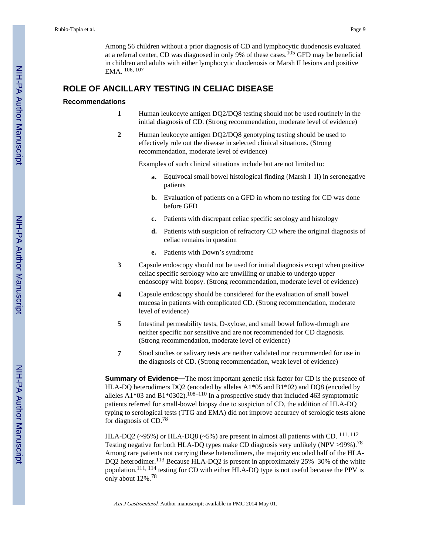Among 56 children without a prior diagnosis of CD and lymphocytic duodenosis evaluated at a referral center, CD was diagnosed in only 9% of these cases.<sup>105</sup> GFD may be beneficial in children and adults with either lymphocytic duodenosis or Marsh II lesions and positive EMA. 106, 107

## **ROLE OF ANCILLARY TESTING IN CELIAC DISEASE**

#### **Recommendations**

- **1** Human leukocyte antigen DQ2/DQ8 testing should not be used routinely in the initial diagnosis of CD. (Strong recommendation, moderate level of evidence)
- **2** Human leukocyte antigen DQ2/DQ8 genotyping testing should be used to effectively rule out the disease in selected clinical situations. (Strong recommendation, moderate level of evidence)

Examples of such clinical situations include but are not limited to:

- **a.** Equivocal small bowel histological finding (Marsh I–II) in seronegative patients
- **b.** Evaluation of patients on a GFD in whom no testing for CD was done before GFD
- **c.** Patients with discrepant celiac specific serology and histology
- **d.** Patients with suspicion of refractory CD where the original diagnosis of celiac remains in question
- **e.** Patients with Down's syndrome
- **3** Capsule endoscopy should not be used for initial diagnosis except when positive celiac specific serology who are unwilling or unable to undergo upper endoscopy with biopsy. (Strong recommendation, moderate level of evidence)
- **4** Capsule endoscopy should be considered for the evaluation of small bowel mucosa in patients with complicated CD. (Strong recommendation, moderate level of evidence)
- **5** Intestinal permeability tests, D-xylose, and small bowel follow-through are neither specific nor sensitive and are not recommended for CD diagnosis. (Strong recommendation, moderate level of evidence)
- **7** Stool studies or salivary tests are neither validated nor recommended for use in the diagnosis of CD. (Strong recommendation, weak level of evidence)

**Summary of Evidence—**The most important genetic risk factor for CD is the presence of HLA-DQ heterodimers DQ2 (encoded by alleles A1\*05 and B1\*02) and DQ8 (encoded by alleles A1 $*03$  and B1 $*0302$ ).<sup>108–110</sup> In a prospective study that included 463 symptomatic patients referred for small-bowel biopsy due to suspicion of CD, the addition of HLA-DQ typing to serological tests (TTG and EMA) did not improve accuracy of serologic tests alone for diagnosis of CD.<sup>78</sup>

HLA-DQ2 (~95%) or HLA-DQ8 (~5%) are present in almost all patients with CD. <sup>111, 112</sup> Testing negative for both HLA-DQ types make CD diagnosis very unlikely (NPV >99%).<sup>78</sup> Among rare patients not carrying these heterodimers, the majority encoded half of the HLA-DQ2 heterodimer.<sup>113</sup> Because HLA-DQ2 is present in approximately 25%–30% of the white population,111, 114 testing for CD with either HLA-DQ type is not useful because the PPV is only about 12%.<sup>78</sup>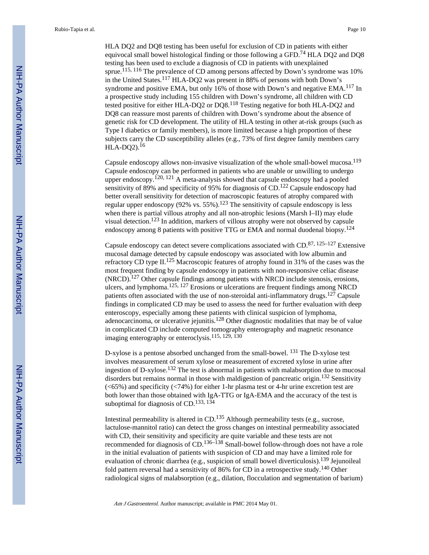Rubio-Tapia et al. Page 10

HLA DQ2 and DQ8 testing has been useful for exclusion of CD in patients with either equivocal small bowel histological finding or those following a GFD.<sup>74</sup> HLA DQ2 and DQ8 testing has been used to exclude a diagnosis of CD in patients with unexplained sprue.<sup>115, 116</sup> The prevalence of CD among persons affected by Down's syndrome was 10% in the United States.<sup>117</sup> HLA-DQ2 was present in 88% of persons with both Down's syndrome and positive EMA, but only 16% of those with Down's and negative EMA.<sup>117</sup> In a prospective study including 155 children with Down's syndrome, all children with CD tested positive for either HLA-DQ2 or DQ8.118 Testing negative for both HLA-DQ2 and DQ8 can reassure most parents of children with Down's syndrome about the absence of genetic risk for CD development. The utility of HLA testing in other at-risk groups (such as Type I diabetics or family members), is more limited because a high proportion of these subjects carry the CD susceptibility alleles (e.g., 73% of first degree family members carry HLA-DQ2).<sup>16</sup>

Capsule endoscopy allows non-invasive visualization of the whole small-bowel mucosa.<sup>119</sup> Capsule endoscopy can be performed in patients who are unable or unwilling to undergo upper endoscopy.<sup>120, 121</sup> A meta-analysis showed that capsule endoscopy had a pooled sensitivity of 89% and specificity of 95% for diagnosis of  $CD$ .<sup>122</sup> Capsule endoscopy had better overall sensitivity for detection of macroscopic features of atrophy compared with regular upper endoscopy  $(92\% \text{ vs. } 55\%)$ .<sup>123</sup> The sensitivity of capsule endoscopy is less when there is partial villous atrophy and all non-atrophic lesions (Marsh I–II) may elude visual detection.123 In addition, markers of villous atrophy were not observed by capsule endoscopy among 8 patients with positive TTG or EMA and normal duodenal biopsy.<sup>124</sup>

Capsule endoscopy can detect severe complications associated with CD.87, 125–127 Extensive mucosal damage detected by capsule endoscopy was associated with low albumin and refractory CD type II.125 Macroscopic features of atrophy found in 31% of the cases was the most frequent finding by capsule endoscopy in patients with non-responsive celiac disease (NRCD).127 Other capsule findings among patients with NRCD include stenosis, erosions, ulcers, and lymphoma.125, 127 Erosions or ulcerations are frequent findings among NRCD patients often associated with the use of non-steroidal anti-inflammatory drugs.<sup>127</sup> Capsule findings in complicated CD may be used to assess the need for further evaluation with deep enteroscopy, especially among these patients with clinical suspicion of lymphoma, adenocarcinoma, or ulcerative jejunitis.<sup>128</sup> Other diagnostic modalities that may be of value in complicated CD include computed tomography enterography and magnetic resonance imaging enterography or enteroclysis.115, 129, 130

D-xylose is a pentose absorbed unchanged from the small-bowel. 131 The D-xylose test involves measurement of serum xylose or measurement of excreted xylose in urine after ingestion of D-xylose.132 The test is abnormal in patients with malabsorption due to mucosal disorders but remains normal in those with maldigestion of pancreatic origin.<sup>132</sup> Sensitivity  $(<65\%)$  and specificity  $(<74\%)$  for either 1-hr plasma test or 4-hr urine excretion test are both lower than those obtained with IgA-TTG or IgA-EMA and the accuracy of the test is suboptimal for diagnosis of  $CD$ .<sup>133, 134</sup>

Intestinal permeability is altered in CD.135 Although permeability tests (e.g., sucrose, lactulose-mannitol ratio) can detect the gross changes on intestinal permeability associated with CD, their sensitivity and specificity are quite variable and these tests are not recommended for diagnosis of CD.136–138 Small-bowel follow-through does not have a role in the initial evaluation of patients with suspicion of CD and may have a limited role for evaluation of chronic diarrhea (e.g., suspicion of small bowel diverticulosis).<sup>139</sup> Jejunoileal fold pattern reversal had a sensitivity of 86% for CD in a retrospective study.<sup>140</sup> Other radiological signs of malabsorption (e.g., dilation, flocculation and segmentation of barium)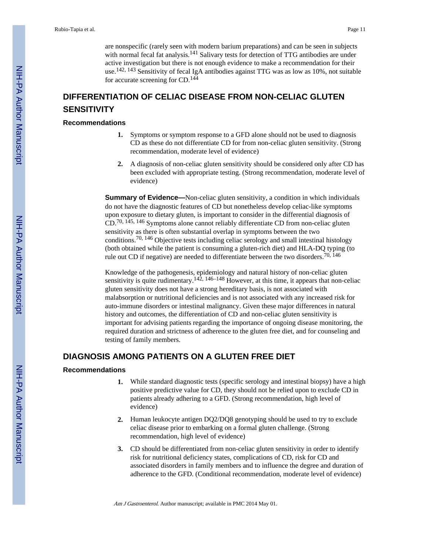are nonspecific (rarely seen with modern barium preparations) and can be seen in subjects with normal fecal fat analysis.<sup>141</sup> Salivary tests for detection of TTG antibodies are under active investigation but there is not enough evidence to make a recommendation for their use.142, 143 Sensitivity of fecal IgA antibodies against TTG was as low as 10%, not suitable for accurate screening for CD.<sup>144</sup>

## **DIFFERENTIATION OF CELIAC DISEASE FROM NON-CELIAC GLUTEN SENSITIVITY**

#### **Recommendations**

- **1.** Symptoms or symptom response to a GFD alone should not be used to diagnosis CD as these do not differentiate CD for from non-celiac gluten sensitivity. (Strong recommendation, moderate level of evidence)
- **2.** A diagnosis of non-celiac gluten sensitivity should be considered only after CD has been excluded with appropriate testing. (Strong recommendation, moderate level of evidence)

**Summary of Evidence—**Non-celiac gluten sensitivity, a condition in which individuals do not have the diagnostic features of CD but nonetheless develop celiac-like symptoms upon exposure to dietary gluten, is important to consider in the differential diagnosis of CD.70, 145, 146 Symptoms alone cannot reliably differentiate CD from non-celiac gluten sensitivity as there is often substantial overlap in symptoms between the two conditions.70, 146 Objective tests including celiac serology and small intestinal histology (both obtained while the patient is consuming a gluten-rich diet) and HLA-DQ typing (to rule out CD if negative) are needed to differentiate between the two disorders.<sup>70, 146</sup>

Knowledge of the pathogenesis, epidemiology and natural history of non-celiac gluten sensitivity is quite rudimentary.<sup>142, 146–148</sup> However, at this time, it appears that non-celiac gluten sensitivity does not have a strong hereditary basis, is not associated with malabsorption or nutritional deficiencies and is not associated with any increased risk for auto-immune disorders or intestinal malignancy. Given these major differences in natural history and outcomes, the differentiation of CD and non-celiac gluten sensitivity is important for advising patients regarding the importance of ongoing disease monitoring, the required duration and strictness of adherence to the gluten free diet, and for counseling and testing of family members.

## **DIAGNOSIS AMONG PATIENTS ON A GLUTEN FREE DIET**

#### **Recommendations**

- **1.** While standard diagnostic tests (specific serology and intestinal biopsy) have a high positive predictive value for CD, they should not be relied upon to exclude CD in patients already adhering to a GFD. (Strong recommendation, high level of evidence)
- **2.** Human leukocyte antigen DQ2/DQ8 genotyping should be used to try to exclude celiac disease prior to embarking on a formal gluten challenge. (Strong recommendation, high level of evidence)
- **3.** CD should be differentiated from non-celiac gluten sensitivity in order to identify risk for nutritional deficiency states, complications of CD, risk for CD and associated disorders in family members and to influence the degree and duration of adherence to the GFD. (Conditional recommendation, moderate level of evidence)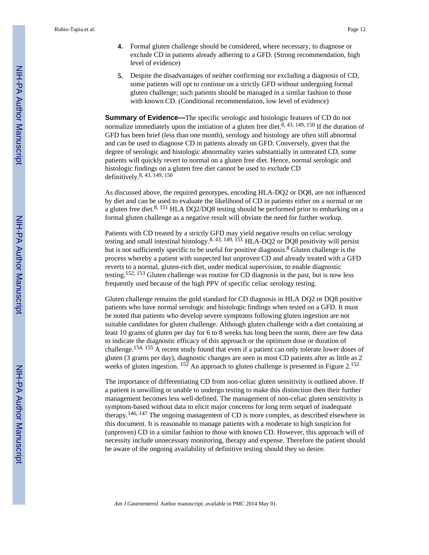- **4.** Formal gluten challenge should be considered, where necessary, to diagnose or exclude CD in patients already adhering to a GFD. (Strong recommendation, high level of evidence)
- **5.** Despite the disadvantages of neither confirming nor excluding a diagnosis of CD, some patients will opt to continue on a strictly GFD without undergoing formal gluten challenge; such patients should be managed in a similar fashion to those with known CD. (Conditional recommendation, low level of evidence)

**Summary of Evidence—**The specific serologic and histologic features of CD do not normalize immediately upon the initiation of a gluten free diet.<sup>8, 43, 149, 150</sup> If the duration of GFD has been brief (less than one month), serology and histology are often still abnormal and can be used to diagnose CD in patients already on GFD. Conversely, given that the degree of serologic and histologic abnormality varies substantially in untreated CD, some patients will quickly revert to normal on a gluten free diet. Hence, normal serologic and histologic findings on a gluten free diet cannot be used to exclude CD definitively.8, 43, 149, 150

As discussed above, the required genotypes, encoding HLA-DQ2 or DQ8, are not influenced by diet and can be used to evaluate the likelihood of CD in patients either on a normal or on a gluten free diet.<sup>8, 151</sup> HLA DQ2/DQ8 testing should be performed prior to embarking on a formal gluten challenge as a negative result will obviate the need for further workup.

Patients with CD treated by a strictly GFD may yield negative results on celiac serology testing and small intestinal histology.<sup>8, 43, 149, 151</sup> HLA-DQ2 or DQ8 positivity will persist but is not sufficiently specific to be useful for positive diagnosis.<sup>8</sup> Gluten challenge is the process whereby a patient with suspected but unproven CD and already treated with a GFD reverts to a normal, gluten-rich diet, under medical supervision, to enable diagnostic testing.152, 153 Gluten challenge was routine for CD diagnosis in the past, but is now less frequently used because of the high PPV of specific celiac serology testing.

Gluten challenge remains the gold standard for CD diagnosis in HLA DQ2 or DQ8 positive patients who have normal serologic and histologic findings when tested on a GFD. It must be noted that patients who develop severe symptoms following gluten ingestion are not suitable candidates for gluten challenge. Although gluten challenge with a diet containing at least 10 grams of gluten per day for 6 to 8 weeks has long been the norm, there are few data to indicate the diagnostic efficacy of this approach or the optimum dose or duration of challenge.154, 155 A recent study found that even if a patient can only tolerate lower doses of gluten (3 grams per day), diagnostic changes are seen in most CD patients after as little as 2 weeks of gluten ingestion. <sup>152</sup> An approach to gluten challenge is presented in Figure 2.<sup>152</sup>

The importance of differentiating CD from non-celiac gluten sensitivity is outlined above. If a patient is unwilling or unable to undergo testing to make this distinction then their further management becomes less well-defined. The management of non-celiac gluten sensitivity is symptom-based without data to elicit major concerns for long term sequel of inadequate therapy.146, 147 The ongoing management of CD is more complex, as described elsewhere in this document. It is reasonable to manage patients with a moderate to high suspicion for (unproven) CD in a similar fashion to those with known CD. However, this approach will of necessity include unnecessary monitoring, therapy and expense. Therefore the patient should be aware of the ongoing availability of definitive testing should they so desire.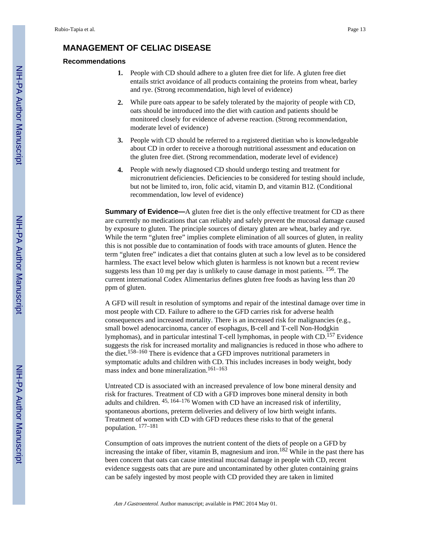## **MANAGEMENT OF CELIAC DISEASE**

#### **Recommendations**

- **1.** People with CD should adhere to a gluten free diet for life. A gluten free diet entails strict avoidance of all products containing the proteins from wheat, barley and rye. (Strong recommendation, high level of evidence)
- **2.** While pure oats appear to be safely tolerated by the majority of people with CD, oats should be introduced into the diet with caution and patients should be monitored closely for evidence of adverse reaction. (Strong recommendation, moderate level of evidence)
- **3.** People with CD should be referred to a registered dietitian who is knowledgeable about CD in order to receive a thorough nutritional assessment and education on the gluten free diet. (Strong recommendation, moderate level of evidence)
- **4.** People with newly diagnosed CD should undergo testing and treatment for micronutrient deficiencies. Deficiencies to be considered for testing should include, but not be limited to, iron, folic acid, vitamin D, and vitamin B12. (Conditional recommendation, low level of evidence)

**Summary of Evidence—**A gluten free diet is the only effective treatment for CD as there are currently no medications that can reliably and safely prevent the mucosal damage caused by exposure to gluten. The principle sources of dietary gluten are wheat, barley and rye. While the term "gluten free" implies complete elimination of all sources of gluten, in reality this is not possible due to contamination of foods with trace amounts of gluten. Hence the term "gluten free" indicates a diet that contains gluten at such a low level as to be considered harmless. The exact level below which gluten is harmless is not known but a recent review suggests less than 10 mg per day is unlikely to cause damage in most patients. <sup>156</sup>. The current international Codex Alimentarius defines gluten free foods as having less than 20 ppm of gluten.

A GFD will result in resolution of symptoms and repair of the intestinal damage over time in most people with CD. Failure to adhere to the GFD carries risk for adverse health consequences and increased mortality. There is an increased risk for malignancies (e.g., small bowel adenocarcinoma, cancer of esophagus, B-cell and T-cell Non-Hodgkin lymphomas), and in particular intestinal T-cell lymphomas, in people with CD.157 Evidence suggests the risk for increased mortality and malignancies is reduced in those who adhere to the diet.158–160 There is evidence that a GFD improves nutritional parameters in symptomatic adults and children with CD. This includes increases in body weight, body mass index and bone mineralization.161–163

Untreated CD is associated with an increased prevalence of low bone mineral density and risk for fractures. Treatment of CD with a GFD improves bone mineral density in both adults and children. 45, 164–176 Women with CD have an increased risk of infertility, spontaneous abortions, preterm deliveries and delivery of low birth weight infants. Treatment of women with CD with GFD reduces these risks to that of the general population. 177–181

Consumption of oats improves the nutrient content of the diets of people on a GFD by increasing the intake of fiber, vitamin B, magnesium and iron.182 While in the past there has been concern that oats can cause intestinal mucosal damage in people with CD, recent evidence suggests oats that are pure and uncontaminated by other gluten containing grains can be safely ingested by most people with CD provided they are taken in limited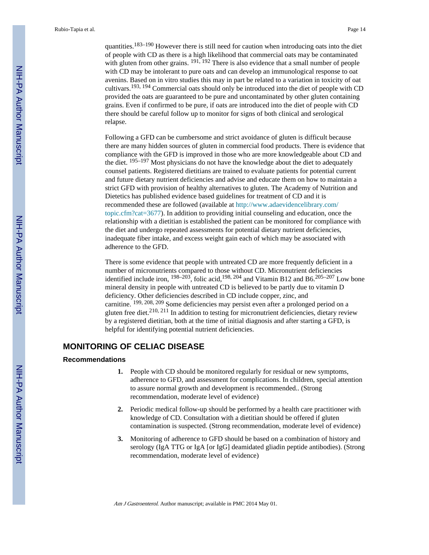quantities.<sup>183–190</sup> However there is still need for caution when introducing oats into the diet of people with CD as there is a high likelihood that commercial oats may be contaminated with gluten from other grains. <sup>191, 192</sup> There is also evidence that a small number of people with gluten from other grains. with CD may be intolerant to pure oats and can develop an immunological response to oat avenins. Based on in vitro studies this may in part be related to a variation in toxicity of oat cultivars.193, 194 Commercial oats should only be introduced into the diet of people with CD provided the oats are guaranteed to be pure and uncontaminated by other gluten containing grains. Even if confirmed to be pure, if oats are introduced into the diet of people with CD there should be careful follow up to monitor for signs of both clinical and serological relapse.

Following a GFD can be cumbersome and strict avoidance of gluten is difficult because there are many hidden sources of gluten in commercial food products. There is evidence that compliance with the GFD is improved in those who are more knowledgeable about CD and the diet.  $195-197$  Most physicians do not have the knowledge about the diet to adequately counsel patients. Registered dietitians are trained to evaluate patients for potential current and future dietary nutrient deficiencies and advise and educate them on how to maintain a strict GFD with provision of healthy alternatives to gluten. The Academy of Nutrition and Dietetics has published evidence based guidelines for treatment of CD and it is recommended these are followed (available at [http://www.adaevidencelibrary.com/](http://www.adaevidencelibrary.com/topic.cfm?cat=3677) [topic.cfm?cat=3677\)](http://www.adaevidencelibrary.com/topic.cfm?cat=3677). In addition to providing initial counseling and education, once the relationship with a dietitian is established the patient can be monitored for compliance with the diet and undergo repeated assessments for potential dietary nutrient deficiencies, inadequate fiber intake, and excess weight gain each of which may be associated with adherence to the GFD.

There is some evidence that people with untreated CD are more frequently deficient in a number of micronutrients compared to those without CD. Micronutrient deficiencies identified include iron,  $198-203$ , folic acid,  $198$ ,  $204$  and Vitamin B12 and B6. $205-207$  Low bone mineral density in people with untreated CD is believed to be partly due to vitamin D deficiency. Other deficiencies described in CD include copper, zinc, and carnitine. 199, 208, 209 Some deficiencies may persist even after a prolonged period on a gluten free diet.<sup>210, 211</sup> In addition to testing for micronutrient deficiencies, dietary review by a registered dietitian, both at the time of initial diagnosis and after starting a GFD, is helpful for identifying potential nutrient deficiencies.

## **MONITORING OF CELIAC DISEASE**

#### **Recommendations**

- **1.** People with CD should be monitored regularly for residual or new symptoms, adherence to GFD, and assessment for complications. In children, special attention to assure normal growth and development is recommended.. (Strong recommendation, moderate level of evidence)
- **2.** Periodic medical follow-up should be performed by a health care practitioner with knowledge of CD. Consultation with a dietitian should be offered if gluten contamination is suspected. (Strong recommendation, moderate level of evidence)
- **3.** Monitoring of adherence to GFD should be based on a combination of history and serology (IgA TTG or IgA [or IgG] deamidated gliadin peptide antibodies). (Strong recommendation, moderate level of evidence)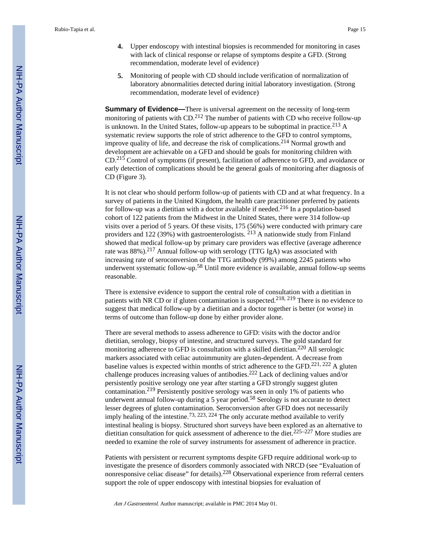- **4.** Upper endoscopy with intestinal biopsies is recommended for monitoring in cases with lack of clinical response or relapse of symptoms despite a GFD. (Strong recommendation, moderate level of evidence)
- **5.** Monitoring of people with CD should include verification of normalization of laboratory abnormalities detected during initial laboratory investigation. (Strong recommendation, moderate level of evidence)

**Summary of Evidence—**There is universal agreement on the necessity of long-term monitoring of patients with CD.<sup>212</sup> The number of patients with CD who receive follow-up is unknown. In the United States, follow-up appears to be suboptimal in practice.<sup>213</sup> A systematic review supports the role of strict adherence to the GFD to control symptoms, improve quality of life, and decrease the risk of complications.214 Normal growth and development are achievable on a GFD and should be goals for monitoring children with CD.215 Control of symptoms (if present), facilitation of adherence to GFD, and avoidance or early detection of complications should be the general goals of monitoring after diagnosis of CD (Figure 3).

It is not clear who should perform follow-up of patients with CD and at what frequency. In a survey of patients in the United Kingdom, the health care practitioner preferred by patients for follow-up was a dietitian with a doctor available if needed.<sup>216</sup> In a population-based cohort of 122 patients from the Midwest in the United States, there were 314 follow-up visits over a period of 5 years. Of these visits, 175 (56%) were conducted with primary care providers and 122 (39%) with gastroenterologists. 213 A nationwide study from Finland showed that medical follow-up by primary care providers was effective (average adherence rate was 88%).<sup>217</sup> Annual follow-up with serology (TTG IgA) was associated with increasing rate of seroconversion of the TTG antibody (99%) among 2245 patients who underwent systematic follow-up.58 Until more evidence is available, annual follow-up seems reasonable.

There is extensive evidence to support the central role of consultation with a dietitian in patients with NR CD or if gluten contamination is suspected.<sup>218, 219</sup> There is no evidence to suggest that medical follow-up by a dietitian and a doctor together is better (or worse) in terms of outcome than follow-up done by either provider alone.

There are several methods to assess adherence to GFD: visits with the doctor and/or dietitian, serology, biopsy of intestine, and structured surveys. The gold standard for monitoring adherence to GFD is consultation with a skilled dietitian.220 All serologic markers associated with celiac autoimmunity are gluten-dependent. A decrease from baseline values is expected within months of strict adherence to the GFD.221, 222 A gluten challenge produces increasing values of antibodies.222 Lack of declining values and/or persistently positive serology one year after starting a GFD strongly suggest gluten contamination.219 Persistently positive serology was seen in only 1% of patients who underwent annual follow-up during a 5 year period.<sup>58</sup> Serology is not accurate to detect lesser degrees of gluten contamination. Seroconversion after GFD does not necessarily imply healing of the intestine.<sup>73, 223, 224</sup> The only accurate method available to verify intestinal healing is biopsy. Structured short surveys have been explored as an alternative to dietitian consultation for quick assessment of adherence to the diet.<sup>225–227</sup> More studies are needed to examine the role of survey instruments for assessment of adherence in practice.

Patients with persistent or recurrent symptoms despite GFD require additional work-up to investigate the presence of disorders commonly associated with NRCD (see "Evaluation of nonresponsive celiac disease" for details).228 Observational experience from referral centers support the role of upper endoscopy with intestinal biopsies for evaluation of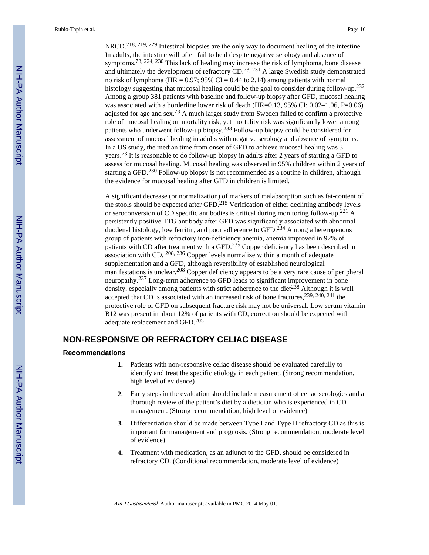NRCD.<sup>218, 219, 229</sup> Intestinal biopsies are the only way to document healing of the intestine. In adults, the intestine will often fail to heal despite negative serology and absence of symptoms.73, 224, 230 This lack of healing may increase the risk of lymphoma, bone disease and ultimately the development of refractory CD.73, 231 A large Swedish study demonstrated no risk of lymphoma (HR =  $0.97$ ; 95% CI = 0.44 to 2.14) among patients with normal histology suggesting that mucosal healing could be the goal to consider during follow-up.<sup>232</sup> Among a group 381 patients with baseline and follow-up biopsy after GFD, mucosal healing was associated with a borderline lower risk of death (HR=0.13, 95% CI: 0.02–1.06, P=0.06) adjusted for age and sex.<sup>73</sup> A much larger study from Sweden failed to confirm a protective role of mucosal healing on mortality risk, yet mortality risk was significantly lower among patients who underwent follow-up biopsy.233 Follow-up biopsy could be considered for assessment of mucosal healing in adults with negative serology and absence of symptoms. In a US study, the median time from onset of GFD to achieve mucosal healing was 3 years.73 It is reasonable to do follow-up biopsy in adults after 2 years of starting a GFD to assess for mucosal healing. Mucosal healing was observed in 95% children within 2 years of starting a GFD.<sup>230</sup> Follow-up biopsy is not recommended as a routine in children, although the evidence for mucosal healing after GFD in children is limited.

A significant decrease (or normalization) of markers of malabsorption such as fat-content of the stools should be expected after GFD.215 Verification of either declining antibody levels or seroconversion of CD specific antibodies is critical during monitoring follow-up.221 A persistently positive TTG antibody after GFD was significantly associated with abnormal duodenal histology, low ferritin, and poor adherence to GFD.234 Among a heterogenous group of patients with refractory iron-deficiency anemia, anemia improved in 92% of patients with CD after treatment with a GFD.<sup>235</sup> Copper deficiency has been described in association with CD.  $208, 236$  Copper levels normalize within a month of adequate supplementation and a GFD, although reversibility of established neurological manifestations is unclear.<sup>208</sup> Copper deficiency appears to be a very rare cause of peripheral neuropathy.237 Long-term adherence to GFD leads to significant improvement in bone density, especially among patients with strict adherence to the diet<sup> $238$ </sup> Although it is well accepted that CD is associated with an increased risk of bone fractures,  $^{239, 240, 241}$  the protective role of GFD on subsequent fracture risk may not be universal. Low serum vitamin B12 was present in about 12% of patients with CD, correction should be expected with adequate replacement and GFD.<sup>205</sup>

## **NON-RESPONSIVE OR REFRACTORY CELIAC DISEASE**

#### **Recommendations**

- **1.** Patients with non-responsive celiac disease should be evaluated carefully to identify and treat the specific etiology in each patient. (Strong recommendation, high level of evidence)
- **2.** Early steps in the evaluation should include measurement of celiac serologies and a thorough review of the patient's diet by a dietician who is experienced in CD management. (Strong recommendation, high level of evidence)
- **3.** Differentiation should be made between Type I and Type II refractory CD as this is important for management and prognosis. (Strong recommendation, moderate level of evidence)
- **4.** Treatment with medication, as an adjunct to the GFD, should be considered in refractory CD. (Conditional recommendation, moderate level of evidence)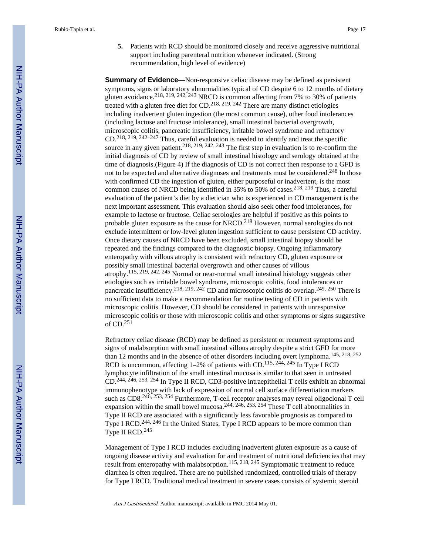Rubio-Tapia et al. Page 17

**5.** Patients with RCD should be monitored closely and receive aggressive nutritional support including parenteral nutrition whenever indicated. (Strong recommendation, high level of evidence)

**Summary of Evidence—**Non-responsive celiac disease may be defined as persistent symptoms, signs or laboratory abnormalities typical of CD despite 6 to 12 months of dietary gluten avoidance.<sup>218, 219, 242, 243</sup> NRCD is common affecting from 7% to 30% of patients treated with a gluten free diet for  $CD^{218, 219, 242}$  There are many distinct etiologies including inadvertent gluten ingestion (the most common cause), other food intolerances (including lactose and fructose intolerance), small intestinal bacterial overgrowth, microscopic colitis, pancreatic insufficiency, irritable bowel syndrome and refractory CD.218, 219, 242–247 Thus, careful evaluation is needed to identify and treat the specific source in any given patient.<sup>218, 219, 242, 243</sup> The first step in evaluation is to re-confirm the initial diagnosis of CD by review of small intestinal histology and serology obtained at the time of diagnosis.(Figure 4) If the diagnosis of CD is not correct then response to a GFD is not to be expected and alternative diagnoses and treatments must be considered.<sup>248</sup> In those with confirmed CD the ingestion of gluten, either purposeful or inadvertent, is the most common causes of NRCD being identified in 35% to 50% of cases.218, 219 Thus, a careful evaluation of the patient's diet by a dietician who is experienced in CD management is the next important assessment. This evaluation should also seek other food intolerances, for example to lactose or fructose. Celiac serologies are helpful if positive as this points to probable gluten exposure as the cause for NRCD.218 However, normal serologies do not exclude intermittent or low-level gluten ingestion sufficient to cause persistent CD activity. Once dietary causes of NRCD have been excluded, small intestinal biopsy should be repeated and the findings compared to the diagnostic biopsy. Ongoing inflammatory enteropathy with villous atrophy is consistent with refractory CD, gluten exposure or possibly small intestinal bacterial overgrowth and other causes of villous atrophy.115, 219, 242, 245 Normal or near-normal small intestinal histology suggests other etiologies such as irritable bowel syndrome, microscopic colitis, food intolerances or pancreatic insufficiency.218, 219, 242 CD and microscopic colitis do overlap.249, 250 There is no sufficient data to make a recommendation for routine testing of CD in patients with microscopic colitis. However, CD should be considered in patients with unresponsive microscopic colitis or those with microscopic colitis and other symptoms or signs suggestive of CD.<sup>251</sup>

Refractory celiac disease (RCD) may be defined as persistent or recurrent symptoms and signs of malabsorption with small intestinal villous atrophy despite a strict GFD for more than 12 months and in the absence of other disorders including overt lymphoma.145, 218, 252 RCD is uncommon, affecting  $1-2\%$  of patients with CD.<sup>115, 244, 245</sup> In Type I RCD lymphocyte infiltration of the small intestinal mucosa is similar to that seen in untreated CD.244, 246, 253, 254 In Type II RCD, CD3-positive intraepithelial T cells exhibit an abnormal immunophenotype with lack of expression of normal cell surface differentiation markers such as CD8.246, 253, 254 Furthermore, T-cell receptor analyses may reveal oligoclonal T cell expansion within the small bowel mucosa.244, 246, 253, 254 These T cell abnormalities in Type II RCD are associated with a significantly less favorable prognosis as compared to Type I RCD.<sup>244, 246</sup> In the United States, Type I RCD appears to be more common than Type II RCD.<sup>245</sup>

Management of Type I RCD includes excluding inadvertent gluten exposure as a cause of ongoing disease activity and evaluation for and treatment of nutritional deficiencies that may result from enteropathy with malabsorption.<sup>115, 218, 245</sup> Symptomatic treatment to reduce diarrhea is often required. There are no published randomized, controlled trials of therapy for Type I RCD. Traditional medical treatment in severe cases consists of systemic steroid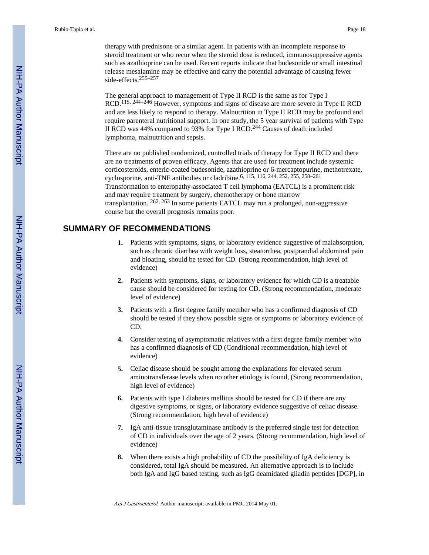therapy with prednisone or a similar agent. In patients with an incomplete response to steroid treatment or who recur when the steroid dose is reduced, immunosuppressive agents such as azathioprine can be used. Recent reports indicate that budesonide or small intestinal release mesalamine may be effective and carry the potential advantage of causing fewer side-effects.255–257

The general approach to management of Type II RCD is the same as for Type I RCD.115, 244–246 However, symptoms and signs of disease are more severe in Type II RCD and are less likely to respond to therapy. Malnutrition in Type II RCD may be profound and require parenteral nutritional support. In one study, the 5 year survival of patients with Type II RCD was 44% compared to 93% for Type I RCD.244 Causes of death included lymphoma, malnutrition and sepsis.

There are no published randomized, controlled trials of therapy for Type II RCD and there are no treatments of proven efficacy. Agents that are used for treatment include systemic corticosteroids, enteric-coated budesonide, azathioprine or 6-mercaptopurine, methotrexate, cyclosporine, anti-TNF antibodies or cladribine.6, 115, 116, 244, 252, 255, 258–261 Transformation to enteropathy-associated T cell lymphoma (EATCL) is a prominent risk and may require treatment by surgery, chemotherapy or bone marrow transplantation. 262, 263 In some patients EATCL may run a prolonged, non-aggressive course but the overall prognosis remains poor.

## **SUMMARY OF RECOMMENDATIONS**

- **1.** Patients with symptoms, signs, or laboratory evidence suggestive of malabsorption, such as chronic diarrhea with weight loss, steatorrhea, postprandial abdominal pain and bloating, should be tested for CD. (Strong recommendation, high level of evidence)
- **2.** Patients with symptoms, signs, or laboratory evidence for which CD is a treatable cause should be considered for testing for CD. (Strong recommendation, moderate level of evidence)
- **3.** Patients with a first degree family member who has a confirmed diagnosis of CD should be tested if they show possible signs or symptoms or laboratory evidence of CD.
- **4.** Consider testing of asymptomatic relatives with a first degree family member who has a confirmed diagnosis of CD (Conditional recommendation, high level of evidence)
- **5.** Celiac disease should be sought among the explanations for elevated serum aminotransferase levels when no other etiology is found, (Strong recommendation, high level of evidence)
- **6.** Patients with type I diabetes mellitus should be tested for CD if there are any digestive symptoms, or signs, or laboratory evidence suggestive of celiac disease. (Strong recommendation, high level of evidence)
- **7.** IgA anti-tissue transglutaminase antibody is the preferred single test for detection of CD in individuals over the age of 2 years. (Strong recommendation, high level of evidence)
- **8.** When there exists a high probability of CD the possibility of IgA deficiency is considered, total IgA should be measured. An alternative approach is to include both IgA and IgG based testing, such as IgG deamidated gliadin peptides [DGP], in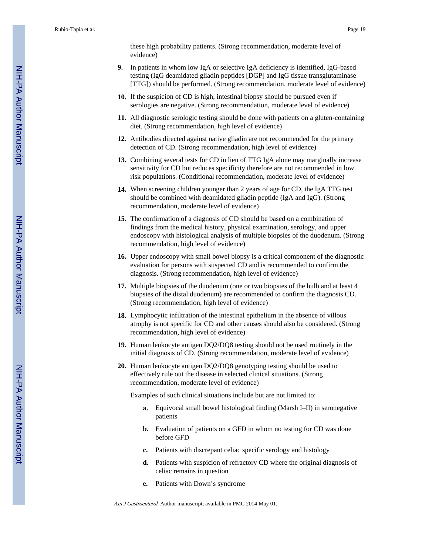Rubio-Tapia et al. Page 19

these high probability patients. (Strong recommendation, moderate level of evidence)

- **9.** In patients in whom low IgA or selective IgA deficiency is identified, IgG-based testing (IgG deamidated gliadin peptides [DGP] and IgG tissue transglutaminase [TTG]) should be performed. (Strong recommendation, moderate level of evidence)
- **10.** If the suspicion of CD is high, intestinal biopsy should be pursued even if serologies are negative. (Strong recommendation, moderate level of evidence)
- **11.** All diagnostic serologic testing should be done with patients on a gluten-containing diet. (Strong recommendation, high level of evidence)
- **12.** Antibodies directed against native gliadin are not recommended for the primary detection of CD. (Strong recommendation, high level of evidence)
- **13.** Combining several tests for CD in lieu of TTG IgA alone may marginally increase sensitivity for CD but reduces specificity therefore are not recommended in low risk populations. (Conditional recommendation, moderate level of evidence)
- **14.** When screening children younger than 2 years of age for CD, the IgA TTG test should be combined with deamidated gliadin peptide (IgA and IgG). (Strong recommendation, moderate level of evidence)
- **15.** The confirmation of a diagnosis of CD should be based on a combination of findings from the medical history, physical examination, serology, and upper endoscopy with histological analysis of multiple biopsies of the duodenum. (Strong recommendation, high level of evidence)
- **16.** Upper endoscopy with small bowel biopsy is a critical component of the diagnostic evaluation for persons with suspected CD and is recommended to confirm the diagnosis. (Strong recommendation, high level of evidence)
- **17.** Multiple biopsies of the duodenum (one or two biopsies of the bulb and at least 4 biopsies of the distal duodenum) are recommended to confirm the diagnosis CD. (Strong recommendation, high level of evidence)
- **18.** Lymphocytic infiltration of the intestinal epithelium in the absence of villous atrophy is not specific for CD and other causes should also be considered. (Strong recommendation, high level of evidence)
- **19.** Human leukocyte antigen DQ2/DQ8 testing should not be used routinely in the initial diagnosis of CD. (Strong recommendation, moderate level of evidence)
- **20.** Human leukocyte antigen DQ2/DQ8 genotyping testing should be used to effectively rule out the disease in selected clinical situations. (Strong recommendation, moderate level of evidence)

Examples of such clinical situations include but are not limited to:

- **a.** Equivocal small bowel histological finding (Marsh I–II) in seronegative patients
- **b.** Evaluation of patients on a GFD in whom no testing for CD was done before GFD
- **c.** Patients with discrepant celiac specific serology and histology
- **d.** Patients with suspicion of refractory CD where the original diagnosis of celiac remains in question
- **e.** Patients with Down's syndrome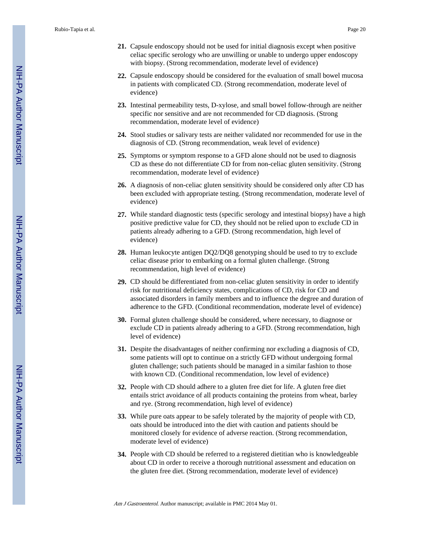- **21.** Capsule endoscopy should not be used for initial diagnosis except when positive celiac specific serology who are unwilling or unable to undergo upper endoscopy with biopsy. (Strong recommendation, moderate level of evidence)
- **22.** Capsule endoscopy should be considered for the evaluation of small bowel mucosa in patients with complicated CD. (Strong recommendation, moderate level of evidence)
- **23.** Intestinal permeability tests, D-xylose, and small bowel follow-through are neither specific nor sensitive and are not recommended for CD diagnosis. (Strong recommendation, moderate level of evidence)
- **24.** Stool studies or salivary tests are neither validated nor recommended for use in the diagnosis of CD. (Strong recommendation, weak level of evidence)
- **25.** Symptoms or symptom response to a GFD alone should not be used to diagnosis CD as these do not differentiate CD for from non-celiac gluten sensitivity. (Strong recommendation, moderate level of evidence)
- **26.** A diagnosis of non-celiac gluten sensitivity should be considered only after CD has been excluded with appropriate testing. (Strong recommendation, moderate level of evidence)
- **27.** While standard diagnostic tests (specific serology and intestinal biopsy) have a high positive predictive value for CD, they should not be relied upon to exclude CD in patients already adhering to a GFD. (Strong recommendation, high level of evidence)
- **28.** Human leukocyte antigen DQ2/DQ8 genotyping should be used to try to exclude celiac disease prior to embarking on a formal gluten challenge. (Strong recommendation, high level of evidence)
- **29.** CD should be differentiated from non-celiac gluten sensitivity in order to identify risk for nutritional deficiency states, complications of CD, risk for CD and associated disorders in family members and to influence the degree and duration of adherence to the GFD. (Conditional recommendation, moderate level of evidence)
- **30.** Formal gluten challenge should be considered, where necessary, to diagnose or exclude CD in patients already adhering to a GFD. (Strong recommendation, high level of evidence)
- **31.** Despite the disadvantages of neither confirming nor excluding a diagnosis of CD, some patients will opt to continue on a strictly GFD without undergoing formal gluten challenge; such patients should be managed in a similar fashion to those with known CD. (Conditional recommendation, low level of evidence)
- **32.** People with CD should adhere to a gluten free diet for life. A gluten free diet entails strict avoidance of all products containing the proteins from wheat, barley and rye. (Strong recommendation, high level of evidence)
- **33.** While pure oats appear to be safely tolerated by the majority of people with CD, oats should be introduced into the diet with caution and patients should be monitored closely for evidence of adverse reaction. (Strong recommendation, moderate level of evidence)
- **34.** People with CD should be referred to a registered dietitian who is knowledgeable about CD in order to receive a thorough nutritional assessment and education on the gluten free diet. (Strong recommendation, moderate level of evidence)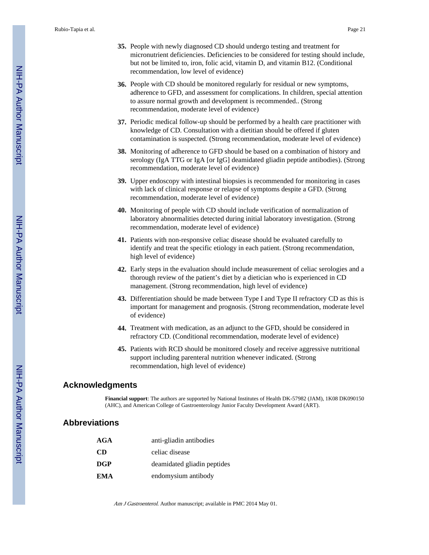- **35.** People with newly diagnosed CD should undergo testing and treatment for micronutrient deficiencies. Deficiencies to be considered for testing should include, but not be limited to, iron, folic acid, vitamin D, and vitamin B12. (Conditional recommendation, low level of evidence)
- **36.** People with CD should be monitored regularly for residual or new symptoms, adherence to GFD, and assessment for complications. In children, special attention to assure normal growth and development is recommended.. (Strong recommendation, moderate level of evidence)
- **37.** Periodic medical follow-up should be performed by a health care practitioner with knowledge of CD. Consultation with a dietitian should be offered if gluten contamination is suspected. (Strong recommendation, moderate level of evidence)
- **38.** Monitoring of adherence to GFD should be based on a combination of history and serology (IgA TTG or IgA [or IgG] deamidated gliadin peptide antibodies). (Strong recommendation, moderate level of evidence)
- **39.** Upper endoscopy with intestinal biopsies is recommended for monitoring in cases with lack of clinical response or relapse of symptoms despite a GFD. (Strong recommendation, moderate level of evidence)
- **40.** Monitoring of people with CD should include verification of normalization of laboratory abnormalities detected during initial laboratory investigation. (Strong recommendation, moderate level of evidence)
- **41.** Patients with non-responsive celiac disease should be evaluated carefully to identify and treat the specific etiology in each patient. (Strong recommendation, high level of evidence)
- **42.** Early steps in the evaluation should include measurement of celiac serologies and a thorough review of the patient's diet by a dietician who is experienced in CD management. (Strong recommendation, high level of evidence)
- **43.** Differentiation should be made between Type I and Type II refractory CD as this is important for management and prognosis. (Strong recommendation, moderate level of evidence)
- **44.** Treatment with medication, as an adjunct to the GFD, should be considered in refractory CD. (Conditional recommendation, moderate level of evidence)
- **45.** Patients with RCD should be monitored closely and receive aggressive nutritional support including parenteral nutrition whenever indicated. (Strong recommendation, high level of evidence)

## **Acknowledgments**

**Financial support**: The authors are supported by National Institutes of Health DK-57982 (JAM), 1K08 DK090150 (AHC), and American College of Gastroenterology Junior Faculty Development Award (ART).

## **Abbreviations**

| AGA | anti-gliadin antibodies     |
|-----|-----------------------------|
| CD  | celiac disease              |
| DGP | deamidated gliadin peptides |
| EMA | endomysium antibody         |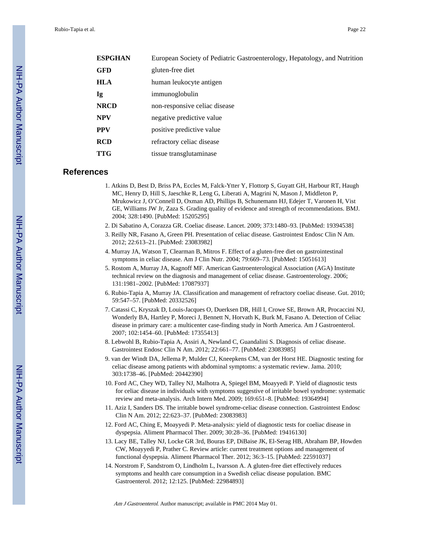| <b>ESPGHAN</b> | European Society of Pediatric Gastroenterology, Hepatology, and Nutrition |
|----------------|---------------------------------------------------------------------------|
| <b>GFD</b>     | gluten-free diet                                                          |
| <b>HLA</b>     | human leukocyte antigen                                                   |
| Ig             | immunoglobulin                                                            |
| <b>NRCD</b>    | non-responsive celiac disease                                             |
| <b>NPV</b>     | negative predictive value                                                 |
| <b>PPV</b>     | positive predictive value                                                 |
| <b>RCD</b>     | refractory celiac disease                                                 |
| <b>TTG</b>     | tissue transglutaminase                                                   |

## **References**

- 1. Atkins D, Best D, Briss PA, Eccles M, Falck-Ytter Y, Flottorp S, Guyatt GH, Harbour RT, Haugh MC, Henry D, Hill S, Jaeschke R, Leng G, Liberati A, Magrini N, Mason J, Middleton P, Mrukowicz J, O'Connell D, Oxman AD, Phillips B, Schunemann HJ, Edejer T, Varonen H, Vist GE, Williams JW Jr, Zaza S. Grading quality of evidence and strength of recommendations. BMJ. 2004; 328:1490. [PubMed: 15205295]
- 2. Di Sabatino A, Corazza GR. Coeliac disease. Lancet. 2009; 373:1480–93. [PubMed: 19394538]
- 3. Reilly NR, Fasano A, Green PH. Presentation of celiac disease. Gastrointest Endosc Clin N Am. 2012; 22:613–21. [PubMed: 23083982]
- 4. Murray JA, Watson T, Clearman B, Mitros F. Effect of a gluten-free diet on gastrointestinal symptoms in celiac disease. Am J Clin Nutr. 2004; 79:669–73. [PubMed: 15051613]
- 5. Rostom A, Murray JA, Kagnoff MF. American Gastroenterological Association (AGA) Institute technical review on the diagnosis and management of celiac disease. Gastroenterology. 2006; 131:1981–2002. [PubMed: 17087937]
- 6. Rubio-Tapia A, Murray JA. Classification and management of refractory coeliac disease. Gut. 2010; 59:547–57. [PubMed: 20332526]
- 7. Catassi C, Kryszak D, Louis-Jacques O, Duerksen DR, Hill I, Crowe SE, Brown AR, Procaccini NJ, Wonderly BA, Hartley P, Moreci J, Bennett N, Horvath K, Burk M, Fasano A. Detection of Celiac disease in primary care: a multicenter case-finding study in North America. Am J Gastroenterol. 2007; 102:1454–60. [PubMed: 17355413]
- 8. Lebwohl B, Rubio-Tapia A, Assiri A, Newland C, Guandalini S. Diagnosis of celiac disease. Gastrointest Endosc Clin N Am. 2012; 22:661–77. [PubMed: 23083985]
- 9. van der Windt DA, Jellema P, Mulder CJ, Kneepkens CM, van der Horst HE. Diagnostic testing for celiac disease among patients with abdominal symptoms: a systematic review. Jama. 2010; 303:1738–46. [PubMed: 20442390]
- 10. Ford AC, Chey WD, Talley NJ, Malhotra A, Spiegel BM, Moayyedi P. Yield of diagnostic tests for celiac disease in individuals with symptoms suggestive of irritable bowel syndrome: systematic review and meta-analysis. Arch Intern Med. 2009; 169:651–8. [PubMed: 19364994]
- 11. Aziz I, Sanders DS. The irritable bowel syndrome-celiac disease connection. Gastrointest Endosc Clin N Am. 2012; 22:623–37. [PubMed: 23083983]
- 12. Ford AC, Ching E, Moayyedi P. Meta-analysis: yield of diagnostic tests for coeliac disease in dyspepsia. Aliment Pharmacol Ther. 2009; 30:28–36. [PubMed: 19416130]
- 13. Lacy BE, Talley NJ, Locke GR 3rd, Bouras EP, DiBaise JK, El-Serag HB, Abraham BP, Howden CW, Moayyedi P, Prather C. Review article: current treatment options and management of functional dyspepsia. Aliment Pharmacol Ther. 2012; 36:3–15. [PubMed: 22591037]
- 14. Norstrom F, Sandstrom O, Lindholm L, Ivarsson A. A gluten-free diet effectively reduces symptoms and health care consumption in a Swedish celiac disease population. BMC Gastroenterol. 2012; 12:125. [PubMed: 22984893]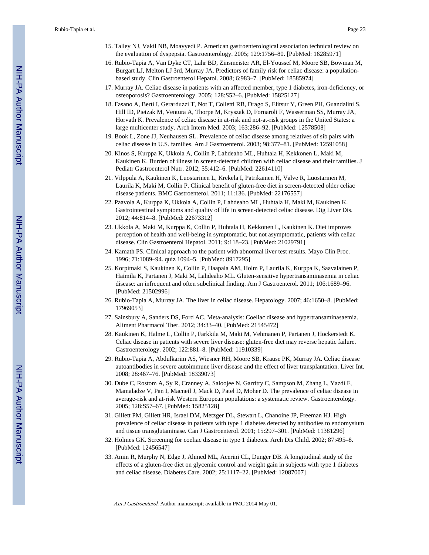- 15. Talley NJ, Vakil NB, Moayyedi P. American gastroenterological association technical review on the evaluation of dyspepsia. Gastroenterology. 2005; 129:1756–80. [PubMed: 16285971]
- 16. Rubio-Tapia A, Van Dyke CT, Lahr BD, Zinsmeister AR, El-Youssef M, Moore SB, Bowman M, Burgart LJ, Melton LJ 3rd, Murray JA. Predictors of family risk for celiac disease: a populationbased study. Clin Gastroenterol Hepatol. 2008; 6:983–7. [PubMed: 18585974]
- 17. Murray JA. Celiac disease in patients with an affected member, type 1 diabetes, iron-deficiency, or osteoporosis? Gastroenterology. 2005; 128:S52–6. [PubMed: 15825127]
- 18. Fasano A, Berti I, Gerarduzzi T, Not T, Colletti RB, Drago S, Elitsur Y, Green PH, Guandalini S, Hill ID, Pietzak M, Ventura A, Thorpe M, Kryszak D, Fornaroli F, Wasserman SS, Murray JA, Horvath K. Prevalence of celiac disease in at-risk and not-at-risk groups in the United States: a large multicenter study. Arch Intern Med. 2003; 163:286–92. [PubMed: 12578508]
- 19. Book L, Zone JJ, Neuhausen SL. Prevalence of celiac disease among relatives of sib pairs with celiac disease in U.S. families. Am J Gastroenterol. 2003; 98:377–81. [PubMed: 12591058]
- 20. Kinos S, Kurppa K, Ukkola A, Collin P, Lahdeaho ML, Huhtala H, Kekkonen L, Maki M, Kaukinen K. Burden of illness in screen-detected children with celiac disease and their families. J Pediatr Gastroenterol Nutr. 2012; 55:412–6. [PubMed: 22614110]
- 21. Vilppula A, Kaukinen K, Luostarinen L, Krekela I, Patrikainen H, Valve R, Luostarinen M, Laurila K, Maki M, Collin P. Clinical benefit of gluten-free diet in screen-detected older celiac disease patients. BMC Gastroenterol. 2011; 11:136. [PubMed: 22176557]
- 22. Paavola A, Kurppa K, Ukkola A, Collin P, Lahdeaho ML, Huhtala H, Maki M, Kaukinen K. Gastrointestinal symptoms and quality of life in screen-detected celiac disease. Dig Liver Dis. 2012; 44:814–8. [PubMed: 22673312]
- 23. Ukkola A, Maki M, Kurppa K, Collin P, Huhtala H, Kekkonen L, Kaukinen K. Diet improves perception of health and well-being in symptomatic, but not asymptomatic, patients with celiac disease. Clin Gastroenterol Hepatol. 2011; 9:118–23. [PubMed: 21029791]
- 24. Kamath PS. Clinical approach to the patient with abnormal liver test results. Mayo Clin Proc. 1996; 71:1089–94. quiz 1094–5. [PubMed: 8917295]
- 25. Korpimaki S, Kaukinen K, Collin P, Haapala AM, Holm P, Laurila K, Kurppa K, Saavalainen P, Haimila K, Partanen J, Maki M, Lahdeaho ML. Gluten-sensitive hypertransaminasemia in celiac disease: an infrequent and often subclinical finding. Am J Gastroenterol. 2011; 106:1689–96. [PubMed: 21502996]
- 26. Rubio-Tapia A, Murray JA. The liver in celiac disease. Hepatology. 2007; 46:1650–8. [PubMed: 17969053]
- 27. Sainsbury A, Sanders DS, Ford AC. Meta-analysis: Coeliac disease and hypertransaminasaemia. Aliment Pharmacol Ther. 2012; 34:33–40. [PubMed: 21545472]
- 28. Kaukinen K, Halme L, Collin P, Farkkila M, Maki M, Vehmanen P, Partanen J, Hockerstedt K. Celiac disease in patients with severe liver disease: gluten-free diet may reverse hepatic failure. Gastroenterology. 2002; 122:881–8. [PubMed: 11910339]
- 29. Rubio-Tapia A, Abdulkarim AS, Wiesner RH, Moore SB, Krause PK, Murray JA. Celiac disease autoantibodies in severe autoimmune liver disease and the effect of liver transplantation. Liver Int. 2008; 28:467–76. [PubMed: 18339073]
- 30. Dube C, Rostom A, Sy R, Cranney A, Saloojee N, Garritty C, Sampson M, Zhang L, Yazdi F, Mamaladze V, Pan I, Macneil J, Mack D, Patel D, Moher D. The prevalence of celiac disease in average-risk and at-risk Western European populations: a systematic review. Gastroenterology. 2005; 128:S57–67. [PubMed: 15825128]
- 31. Gillett PM, Gillett HR, Israel DM, Metzger DL, Stewart L, Chanoine JP, Freeman HJ. High prevalence of celiac disease in patients with type 1 diabetes detected by antibodies to endomysium and tissue transglutaminase. Can J Gastroenterol. 2001; 15:297–301. [PubMed: 11381296]
- 32. Holmes GK. Screening for coeliac disease in type 1 diabetes. Arch Dis Child. 2002; 87:495–8. [PubMed: 12456547]
- 33. Amin R, Murphy N, Edge J, Ahmed ML, Acerini CL, Dunger DB. A longitudinal study of the effects of a gluten-free diet on glycemic control and weight gain in subjects with type 1 diabetes and celiac disease. Diabetes Care. 2002; 25:1117–22. [PubMed: 12087007]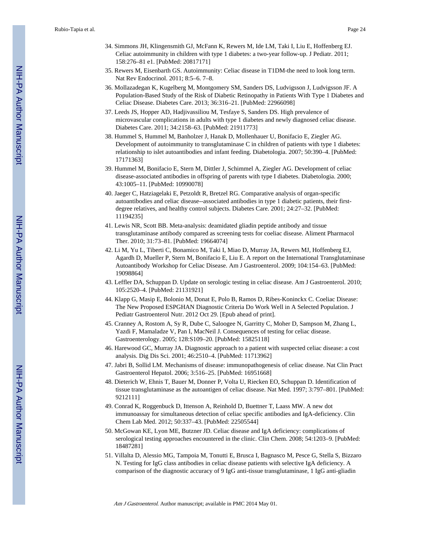- 34. Simmons JH, Klingensmith GJ, McFann K, Rewers M, Ide LM, Taki I, Liu E, Hoffenberg EJ. Celiac autoimmunity in children with type 1 diabetes: a two-year follow-up. J Pediatr. 2011; 158:276–81 e1. [PubMed: 20817171]
- 35. Rewers M, Eisenbarth GS. Autoimmunity: Celiac disease in T1DM-the need to look long term. Nat Rev Endocrinol. 2011; 8:5–6. 7–8.
- 36. Mollazadegan K, Kugelberg M, Montgomery SM, Sanders DS, Ludvigsson J, Ludvigsson JF. A Population-Based Study of the Risk of Diabetic Retinopathy in Patients With Type 1 Diabetes and Celiac Disease. Diabetes Care. 2013; 36:316–21. [PubMed: 22966098]
- 37. Leeds JS, Hopper AD, Hadjivassiliou M, Tesfaye S, Sanders DS. High prevalence of microvascular complications in adults with type 1 diabetes and newly diagnosed celiac disease. Diabetes Care. 2011; 34:2158–63. [PubMed: 21911773]
- 38. Hummel S, Hummel M, Banholzer J, Hanak D, Mollenhauer U, Bonifacio E, Ziegler AG. Development of autoimmunity to transglutaminase C in children of patients with type 1 diabetes: relationship to islet autoantibodies and infant feeding. Diabetologia. 2007; 50:390–4. [PubMed: 17171363]
- 39. Hummel M, Bonifacio E, Stern M, Dittler J, Schimmel A, Ziegler AG. Development of celiac disease-associated antibodies in offspring of parents with type I diabetes. Diabetologia. 2000; 43:1005–11. [PubMed: 10990078]
- 40. Jaeger C, Hatziagelaki E, Petzoldt R, Bretzel RG. Comparative analysis of organ-specific autoantibodies and celiac disease--associated antibodies in type 1 diabetic patients, their firstdegree relatives, and healthy control subjects. Diabetes Care. 2001; 24:27–32. [PubMed: 11194235]
- 41. Lewis NR, Scott BB. Meta-analysis: deamidated gliadin peptide antibody and tissue transglutaminase antibody compared as screening tests for coeliac disease. Aliment Pharmacol Ther. 2010; 31:73–81. [PubMed: 19664074]
- 42. Li M, Yu L, Tiberti C, Bonamico M, Taki I, Miao D, Murray JA, Rewers MJ, Hoffenberg EJ, Agardh D, Mueller P, Stern M, Bonifacio E, Liu E. A report on the International Transglutaminase Autoantibody Workshop for Celiac Disease. Am J Gastroenterol. 2009; 104:154–63. [PubMed: 19098864]
- 43. Leffler DA, Schuppan D. Update on serologic testing in celiac disease. Am J Gastroenterol. 2010; 105:2520–4. [PubMed: 21131921]
- 44. Klapp G, Masip E, Bolonio M, Donat E, Polo B, Ramos D, Ribes-Koninckx C. Coeliac Disease: The New Proposed ESPGHAN Diagnostic Criteria Do Work Well in A Selected Population. J Pediatr Gastroenterol Nutr. 2012 Oct 29. [Epub ahead of print].
- 45. Cranney A, Rostom A, Sy R, Dube C, Saloogee N, Garritty C, Moher D, Sampson M, Zhang L, Yazdi F, Mamaladze V, Pan I, MacNeil J. Consequences of testing for celiac disease. Gastroenterology. 2005; 128:S109–20. [PubMed: 15825118]
- 46. Harewood GC, Murray JA. Diagnostic approach to a patient with suspected celiac disease: a cost analysis. Dig Dis Sci. 2001; 46:2510–4. [PubMed: 11713962]
- 47. Jabri B, Sollid LM. Mechanisms of disease: immunopathogenesis of celiac disease. Nat Clin Pract Gastroenterol Hepatol. 2006; 3:516–25. [PubMed: 16951668]
- 48. Dieterich W, Ehnis T, Bauer M, Donner P, Volta U, Riecken EO, Schuppan D. Identification of tissue transglutaminase as the autoantigen of celiac disease. Nat Med. 1997; 3:797–801. [PubMed: 9212111]
- 49. Conrad K, Roggenbuck D, Ittenson A, Reinhold D, Buettner T, Laass MW. A new dot immunoassay for simultaneous detection of celiac specific antibodies and IgA-deficiency. Clin Chem Lab Med. 2012; 50:337–43. [PubMed: 22505544]
- 50. McGowan KE, Lyon ME, Butzner JD. Celiac disease and IgA deficiency: complications of serological testing approaches encountered in the clinic. Clin Chem. 2008; 54:1203–9. [PubMed: 18487281]
- 51. Villalta D, Alessio MG, Tampoia M, Tonutti E, Brusca I, Bagnasco M, Pesce G, Stella S, Bizzaro N. Testing for IgG class antibodies in celiac disease patients with selective IgA deficiency. A comparison of the diagnostic accuracy of 9 IgG anti-tissue transglutaminase, 1 IgG anti-gliadin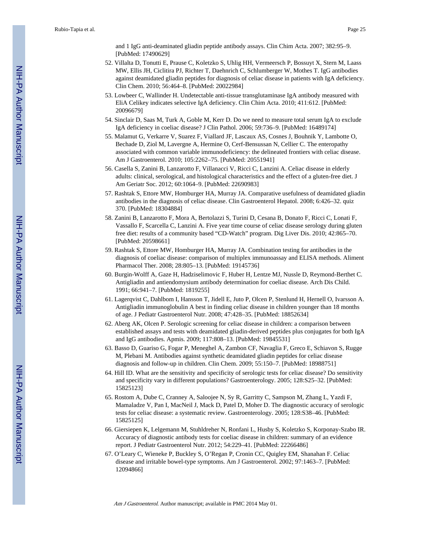and 1 IgG anti-deaminated gliadin peptide antibody assays. Clin Chim Acta. 2007; 382:95–9. [PubMed: 17490629]

- 52. Villalta D, Tonutti E, Prause C, Koletzko S, Uhlig HH, Vermeersch P, Bossuyt X, Stern M, Laass MW, Ellis JH, Ciclitira PJ, Richter T, Daehnrich C, Schlumberger W, Mothes T. IgG antibodies against deamidated gliadin peptides for diagnosis of celiac disease in patients with IgA deficiency. Clin Chem. 2010; 56:464–8. [PubMed: 20022984]
- 53. Lowbeer C, Wallinder H. Undetectable anti-tissue transglutaminase IgA antibody measured with EliA Celikey indicates selective IgA deficiency. Clin Chim Acta. 2010; 411:612. [PubMed: 20096679]
- 54. Sinclair D, Saas M, Turk A, Goble M, Kerr D. Do we need to measure total serum IgA to exclude IgA deficiency in coeliac disease? J Clin Pathol. 2006; 59:736–9. [PubMed: 16489174]
- 55. Malamut G, Verkarre V, Suarez F, Viallard JF, Lascaux AS, Cosnes J, Bouhnik Y, Lambotte O, Bechade D, Ziol M, Lavergne A, Hermine O, Cerf-Bensussan N, Cellier C. The enteropathy associated with common variable immunodeficiency: the delineated frontiers with celiac disease. Am J Gastroenterol. 2010; 105:2262–75. [PubMed: 20551941]
- 56. Casella S, Zanini B, Lanzarotto F, Villanacci V, Ricci C, Lanzini A. Celiac disease in elderly adults: clinical, serological, and histological characteristics and the effect of a gluten-free diet. J Am Geriatr Soc. 2012; 60:1064–9. [PubMed: 22690983]
- 57. Rashtak S, Ettore MW, Homburger HA, Murray JA. Comparative usefulness of deamidated gliadin antibodies in the diagnosis of celiac disease. Clin Gastroenterol Hepatol. 2008; 6:426–32. quiz 370. [PubMed: 18304884]
- 58. Zanini B, Lanzarotto F, Mora A, Bertolazzi S, Turini D, Cesana B, Donato F, Ricci C, Lonati F, Vassallo F, Scarcella C, Lanzini A. Five year time course of celiac disease serology during gluten free diet: results of a community based "CD-Watch" program. Dig Liver Dis. 2010; 42:865–70. [PubMed: 20598661]
- 59. Rashtak S, Ettore MW, Homburger HA, Murray JA. Combination testing for antibodies in the diagnosis of coeliac disease: comparison of multiplex immunoassay and ELISA methods. Aliment Pharmacol Ther. 2008; 28:805–13. [PubMed: 19145736]
- 60. Burgin-Wolff A, Gaze H, Hadziselimovic F, Huber H, Lentze MJ, Nussle D, Reymond-Berthet C. Antigliadin and antiendomysium antibody determination for coeliac disease. Arch Dis Child. 1991; 66:941–7. [PubMed: 1819255]
- 61. Lagerqvist C, Dahlbom I, Hansson T, Jidell E, Juto P, Olcen P, Stenlund H, Hernell O, Ivarsson A. Antigliadin immunoglobulin A best in finding celiac disease in children younger than 18 months of age. J Pediatr Gastroenterol Nutr. 2008; 47:428–35. [PubMed: 18852634]
- 62. Aberg AK, Olcen P. Serologic screening for celiac disease in children: a comparison between established assays and tests with deamidated gliadin-derived peptides plus conjugates for both IgA and IgG antibodies. Apmis. 2009; 117:808–13. [PubMed: 19845531]
- 63. Basso D, Guariso G, Fogar P, Meneghel A, Zambon CF, Navaglia F, Greco E, Schiavon S, Rugge M, Plebani M. Antibodies against synthetic deamidated gliadin peptides for celiac disease diagnosis and follow-up in children. Clin Chem. 2009; 55:150–7. [PubMed: 18988751]
- 64. Hill ID. What are the sensitivity and specificity of serologic tests for celiac disease? Do sensitivity and specificity vary in different populations? Gastroenterology. 2005; 128:S25–32. [PubMed: 15825123]
- 65. Rostom A, Dube C, Cranney A, Saloojee N, Sy R, Garritty C, Sampson M, Zhang L, Yazdi F, Mamaladze V, Pan I, MacNeil J, Mack D, Patel D, Moher D. The diagnostic accuracy of serologic tests for celiac disease: a systematic review. Gastroenterology. 2005; 128:S38–46. [PubMed: 15825125]
- 66. Giersiepen K, Lelgemann M, Stuhldreher N, Ronfani L, Husby S, Koletzko S, Korponay-Szabo IR. Accuracy of diagnostic antibody tests for coeliac disease in children: summary of an evidence report. J Pediatr Gastroenterol Nutr. 2012; 54:229–41. [PubMed: 22266486]
- 67. O'Leary C, Wieneke P, Buckley S, O'Regan P, Cronin CC, Quigley EM, Shanahan F. Celiac disease and irritable bowel-type symptoms. Am J Gastroenterol. 2002; 97:1463–7. [PubMed: 12094866]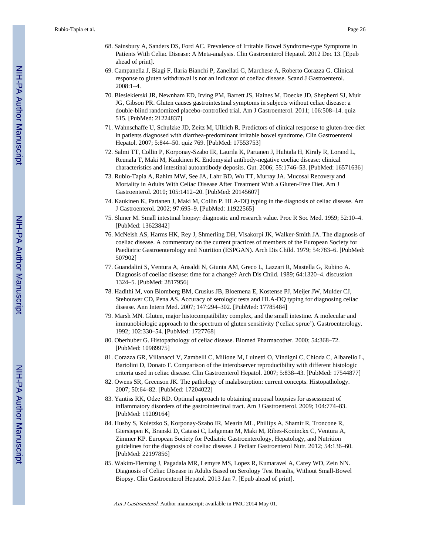- 68. Sainsbury A, Sanders DS, Ford AC. Prevalence of Irritable Bowel Syndrome-type Symptoms in Patients With Celiac Disease: A Meta-analysis. Clin Gastroenterol Hepatol. 2012 Dec 13. [Epub ahead of print].
- 69. Campanella J, Biagi F, Ilaria Bianchi P, Zanellati G, Marchese A, Roberto Corazza G. Clinical response to gluten withdrawal is not an indicator of coeliac disease. Scand J Gastroenterol. 2008:1–4.
- 70. Biesiekierski JR, Newnham ED, Irving PM, Barrett JS, Haines M, Doecke JD, Shepherd SJ, Muir JG, Gibson PR. Gluten causes gastrointestinal symptoms in subjects without celiac disease: a double-blind randomized placebo-controlled trial. Am J Gastroenterol. 2011; 106:508–14. quiz 515. [PubMed: 21224837]
- 71. Wahnschaffe U, Schulzke JD, Zeitz M, Ullrich R. Predictors of clinical response to gluten-free diet in patients diagnosed with diarrhea-predominant irritable bowel syndrome. Clin Gastroenterol Hepatol. 2007; 5:844–50. quiz 769. [PubMed: 17553753]
- 72. Salmi TT, Collin P, Korponay-Szabo IR, Laurila K, Partanen J, Huhtala H, Kiraly R, Lorand L, Reunala T, Maki M, Kaukinen K. Endomysial antibody-negative coeliac disease: clinical characteristics and intestinal autoantibody deposits. Gut. 2006; 55:1746–53. [PubMed: 16571636]
- 73. Rubio-Tapia A, Rahim MW, See JA, Lahr BD, Wu TT, Murray JA. Mucosal Recovery and Mortality in Adults With Celiac Disease After Treatment With a Gluten-Free Diet. Am J Gastroenterol. 2010; 105:1412–20. [PubMed: 20145607]
- 74. Kaukinen K, Partanen J, Maki M, Collin P. HLA-DQ typing in the diagnosis of celiac disease. Am J Gastroenterol. 2002; 97:695–9. [PubMed: 11922565]
- 75. Shiner M. Small intestinal biopsy: diagnostic and research value. Proc R Soc Med. 1959; 52:10–4. [PubMed: 13623842]
- 76. McNeish AS, Harms HK, Rey J, Shmerling DH, Visakorpi JK, Walker-Smith JA. The diagnosis of coeliac disease. A commentary on the current practices of members of the European Society for Paediatric Gastroenterology and Nutrition (ESPGAN). Arch Dis Child. 1979; 54:783–6. [PubMed: 507902]
- 77. Guandalini S, Ventura A, Ansaldi N, Giunta AM, Greco L, Lazzari R, Mastella G, Rubino A. Diagnosis of coeliac disease: time for a change? Arch Dis Child. 1989; 64:1320–4. discussion 1324–5. [PubMed: 2817956]
- 78. Hadithi M, von Blomberg BM, Crusius JB, Bloemena E, Kostense PJ, Meijer JW, Mulder CJ, Stehouwer CD, Pena AS. Accuracy of serologic tests and HLA-DQ typing for diagnosing celiac disease. Ann Intern Med. 2007; 147:294–302. [PubMed: 17785484]
- 79. Marsh MN. Gluten, major histocompatibility complex, and the small intestine. A molecular and immunobiologic approach to the spectrum of gluten sensitivity ('celiac sprue'). Gastroenterology. 1992; 102:330–54. [PubMed: 1727768]
- 80. Oberhuber G. Histopathology of celiac disease. Biomed Pharmacother. 2000; 54:368–72. [PubMed: 10989975]
- 81. Corazza GR, Villanacci V, Zambelli C, Milione M, Luinetti O, Vindigni C, Chioda C, Albarello L, Bartolini D, Donato F. Comparison of the interobserver reproducibility with different histologic criteria used in celiac disease. Clin Gastroenterol Hepatol. 2007; 5:838–43. [PubMed: 17544877]
- 82. Owens SR, Greenson JK. The pathology of malabsorption: current concepts. Histopathology. 2007; 50:64–82. [PubMed: 17204022]
- 83. Yantiss RK, Odze RD. Optimal approach to obtaining mucosal biopsies for assessment of inflammatory disorders of the gastrointestinal tract. Am J Gastroenterol. 2009; 104:774–83. [PubMed: 19209164]
- 84. Husby S, Koletzko S, Korponay-Szabo IR, Mearin ML, Phillips A, Shamir R, Troncone R, Giersiepen K, Branski D, Catassi C, Lelgeman M, Maki M, Ribes-Koninckx C, Ventura A, Zimmer KP. European Society for Pediatric Gastroenterology, Hepatology, and Nutrition guidelines for the diagnosis of coeliac disease. J Pediatr Gastroenterol Nutr. 2012; 54:136–60. [PubMed: 22197856]
- 85. Wakim-Fleming J, Pagadala MR, Lemyre MS, Lopez R, Kumaravel A, Carey WD, Zein NN. Diagnosis of Celiac Disease in Adults Based on Serology Test Results, Without Small-Bowel Biopsy. Clin Gastroenterol Hepatol. 2013 Jan 7. [Epub ahead of print].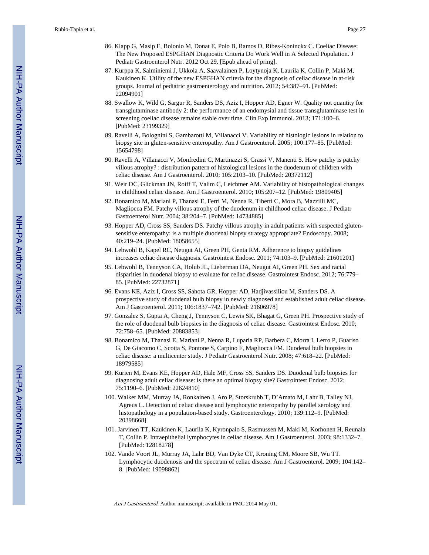Rubio-Tapia et al. Page 27

- 86. Klapp G, Masip E, Bolonio M, Donat E, Polo B, Ramos D, Ribes-Koninckx C. Coeliac Disease: The New Proposed ESPGHAN Diagnostic Criteria Do Work Well in A Selected Population. J Pediatr Gastroenterol Nutr. 2012 Oct 29. [Epub ahead of pring].
- 87. Kurppa K, Salminiemi J, Ukkola A, Saavalainen P, Loytynoja K, Laurila K, Collin P, Maki M, Kaukinen K. Utility of the new ESPGHAN criteria for the diagnosis of celiac disease in at-risk groups. Journal of pediatric gastroenterology and nutrition. 2012; 54:387–91. [PubMed: 22094901]
- 88. Swallow K, Wild G, Sargur R, Sanders DS, Aziz I, Hopper AD, Egner W. Quality not quantity for transglutaminase antibody 2: the performance of an endomysial and tissue transglutaminase test in screening coeliac disease remains stable over time. Clin Exp Immunol. 2013; 171:100–6. [PubMed: 23199329]
- 89. Ravelli A, Bolognini S, Gambarotti M, Villanacci V. Variability of histologic lesions in relation to biopsy site in gluten-sensitive enteropathy. Am J Gastroenterol. 2005; 100:177–85. [PubMed: 15654798]
- 90. Ravelli A, Villanacci V, Monfredini C, Martinazzi S, Grassi V, Manenti S. How patchy is patchy villous atrophy? : distribution pattern of histological lesions in the duodenum of children with celiac disease. Am J Gastroenterol. 2010; 105:2103–10. [PubMed: 20372112]
- 91. Weir DC, Glickman JN, Roiff T, Valim C, Leichtner AM. Variability of histopathological changes in childhood celiac disease. Am J Gastroenterol. 2010; 105:207–12. [PubMed: 19809405]
- 92. Bonamico M, Mariani P, Thanasi E, Ferri M, Nenna R, Tiberti C, Mora B, Mazzilli MC, Magliocca FM. Patchy villous atrophy of the duodenum in childhood celiac disease. J Pediatr Gastroenterol Nutr. 2004; 38:204–7. [PubMed: 14734885]
- 93. Hopper AD, Cross SS, Sanders DS. Patchy villous atrophy in adult patients with suspected glutensensitive enteropathy: is a multiple duodenal biopsy strategy appropriate? Endoscopy. 2008; 40:219–24. [PubMed: 18058655]
- 94. Lebwohl B, Kapel RC, Neugut AI, Green PH, Genta RM. Adherence to biopsy guidelines increases celiac disease diagnosis. Gastrointest Endosc. 2011; 74:103–9. [PubMed: 21601201]
- 95. Lebwohl B, Tennyson CA, Holub JL, Lieberman DA, Neugut AI, Green PH. Sex and racial disparities in duodenal biopsy to evaluate for celiac disease. Gastrointest Endosc. 2012; 76:779– 85. [PubMed: 22732871]
- 96. Evans KE, Aziz I, Cross SS, Sahota GR, Hopper AD, Hadjivassiliou M, Sanders DS. A prospective study of duodenal bulb biopsy in newly diagnosed and established adult celiac disease. Am J Gastroenterol. 2011; 106:1837–742. [PubMed: 21606978]
- 97. Gonzalez S, Gupta A, Cheng J, Tennyson C, Lewis SK, Bhagat G, Green PH. Prospective study of the role of duodenal bulb biopsies in the diagnosis of celiac disease. Gastrointest Endosc. 2010; 72:758–65. [PubMed: 20883853]
- 98. Bonamico M, Thanasi E, Mariani P, Nenna R, Luparia RP, Barbera C, Morra I, Lerro P, Guariso G, De Giacomo C, Scotta S, Pontone S, Carpino F, Magliocca FM. Duodenal bulb biopsies in celiac disease: a multicenter study. J Pediatr Gastroenterol Nutr. 2008; 47:618–22. [PubMed: 18979585]
- 99. Kurien M, Evans KE, Hopper AD, Hale MF, Cross SS, Sanders DS. Duodenal bulb biopsies for diagnosing adult celiac disease: is there an optimal biopsy site? Gastrointest Endosc. 2012; 75:1190–6. [PubMed: 22624810]
- 100. Walker MM, Murray JA, Ronkainen J, Aro P, Storskrubb T, D'Amato M, Lahr B, Talley NJ, Agreus L. Detection of celiac disease and lymphocytic enteropathy by parallel serology and histopathology in a population-based study. Gastroenterology. 2010; 139:112–9. [PubMed: 20398668]
- 101. Jarvinen TT, Kaukinen K, Laurila K, Kyronpalo S, Rasmussen M, Maki M, Korhonen H, Reunala T, Collin P. Intraepithelial lymphocytes in celiac disease. Am J Gastroenterol. 2003; 98:1332–7. [PubMed: 12818278]
- 102. Vande Voort JL, Murray JA, Lahr BD, Van Dyke CT, Kroning CM, Moore SB, Wu TT. Lymphocytic duodenosis and the spectrum of celiac disease. Am J Gastroenterol. 2009; 104:142– 8. [PubMed: 19098862]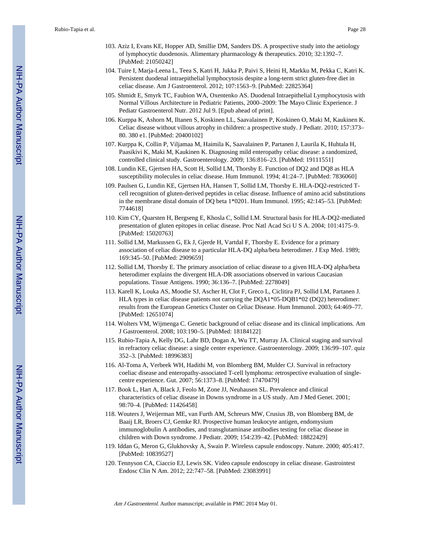- 103. Aziz I, Evans KE, Hopper AD, Smillie DM, Sanders DS. A prospective study into the aetiology of lymphocytic duodenosis. Alimentary pharmacology & therapeutics. 2010; 32:1392–7. [PubMed: 21050242]
- 104. Tuire I, Marja-Leena L, Teea S, Katri H, Jukka P, Paivi S, Heini H, Markku M, Pekka C, Katri K. Persistent duodenal intraepithelial lymphocytosis despite a long-term strict gluten-free diet in celiac disease. Am J Gastroenterol. 2012; 107:1563–9. [PubMed: 22825364]
- 105. Shmidt E, Smyrk TC, Faubion WA, Oxentenko AS. Duodenal Intraepithelial Lymphocytosis with Normal Villous Architecture in Pediatric Patients, 2000–2009: The Mayo Clinic Experience. J Pediatr Gastroenterol Nutr. 2012 Jul 9. [Epub ahead of print].
- 106. Kurppa K, Ashorn M, Iltanen S, Koskinen LL, Saavalainen P, Koskinen O, Maki M, Kaukinen K. Celiac disease without villous atrophy in children: a prospective study. J Pediatr. 2010; 157:373– 80. 380 e1. [PubMed: 20400102]
- 107. Kurppa K, Collin P, Viljamaa M, Haimila K, Saavalainen P, Partanen J, Laurila K, Huhtala H, Paasikivi K, Maki M, Kaukinen K. Diagnosing mild enteropathy celiac disease: a randomized, controlled clinical study. Gastroenterology. 2009; 136:816–23. [PubMed: 19111551]
- 108. Lundin KE, Gjertsen HA, Scott H, Sollid LM, Thorsby E. Function of DQ2 and DQ8 as HLA susceptibility molecules in celiac disease. Hum Immunol. 1994; 41:24–7. [PubMed: 7836060]
- 109. Paulsen G, Lundin KE, Gjertsen HA, Hansen T, Sollid LM, Thorsby E. HLA-DQ2-restricted Tcell recognition of gluten-derived peptides in celiac disease. Influence of amino acid substitutions in the membrane distal domain of DQ beta 1\*0201. Hum Immunol. 1995; 42:145–53. [PubMed: 7744618]
- 110. Kim CY, Quarsten H, Bergseng E, Khosla C, Sollid LM. Structural basis for HLA-DQ2-mediated presentation of gluten epitopes in celiac disease. Proc Natl Acad Sci U S A. 2004; 101:4175–9. [PubMed: 15020763]
- 111. Sollid LM, Markussen G, Ek J, Gjerde H, Vartdal F, Thorsby E. Evidence for a primary association of celiac disease to a particular HLA-DQ alpha/beta heterodimer. J Exp Med. 1989; 169:345–50. [PubMed: 2909659]
- 112. Sollid LM, Thorsby E. The primary association of celiac disease to a given HLA-DQ alpha/beta heterodimer explains the divergent HLA-DR associations observed in various Caucasian populations. Tissue Antigens. 1990; 36:136–7. [PubMed: 2278049]
- 113. Karell K, Louka AS, Moodie SJ, Ascher H, Clot F, Greco L, Ciclitira PJ, Sollid LM, Partanen J. HLA types in celiac disease patients not carrying the DQA1\*05-DQB1\*02 (DQ2) heterodimer: results from the European Genetics Cluster on Celiac Disease. Hum Immunol. 2003; 64:469–77. [PubMed: 12651074]
- 114. Wolters VM, Wijmenga C. Genetic background of celiac disease and its clinical implications. Am J Gastroenterol. 2008; 103:190–5. [PubMed: 18184122]
- 115. Rubio-Tapia A, Kelly DG, Lahr BD, Dogan A, Wu TT, Murray JA. Clinical staging and survival in refractory celiac disease: a single center experience. Gastroenterology. 2009; 136:99–107. quiz 352–3. [PubMed: 18996383]
- 116. Al-Toma A, Verbeek WH, Hadithi M, von Blomberg BM, Mulder CJ. Survival in refractory coeliac disease and enteropathy-associated T-cell lymphoma: retrospective evaluation of singlecentre experience. Gut. 2007; 56:1373–8. [PubMed: 17470479]
- 117. Book L, Hart A, Black J, Feolo M, Zone JJ, Neuhausen SL. Prevalence and clinical characteristics of celiac disease in Downs syndrome in a US study. Am J Med Genet. 2001; 98:70–4. [PubMed: 11426458]
- 118. Wouters J, Weijerman ME, van Furth AM, Schreurs MW, Crusius JB, von Blomberg BM, de Baaij LR, Broers CJ, Gemke RJ. Prospective human leukocyte antigen, endomysium immunoglobulin A antibodies, and transglutaminase antibodies testing for celiac disease in children with Down syndrome. J Pediatr. 2009; 154:239–42. [PubMed: 18822429]
- 119. Iddan G, Meron G, Glukhovsky A, Swain P. Wireless capsule endoscopy. Nature. 2000; 405:417. [PubMed: 10839527]
- 120. Tennyson CA, Ciaccio EJ, Lewis SK. Video capsule endoscopy in celiac disease. Gastrointest Endosc Clin N Am. 2012; 22:747–58. [PubMed: 23083991]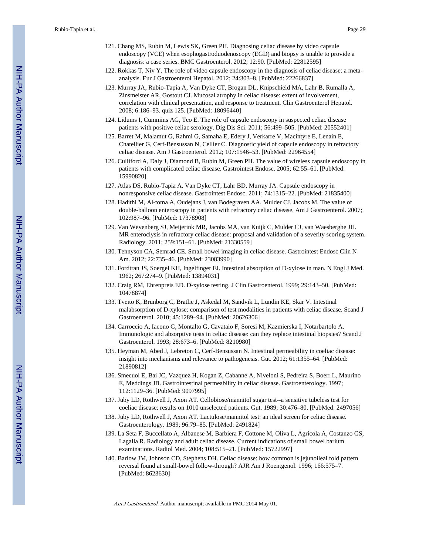Rubio-Tapia et al. Page 29

- 121. Chang MS, Rubin M, Lewis SK, Green PH. Diagnosing celiac disease by video capsule endoscopy (VCE) when esophogastroduodenoscopy (EGD) and biopsy is unable to provide a diagnosis: a case series. BMC Gastroenterol. 2012; 12:90. [PubMed: 22812595]
- 122. Rokkas T, Niv Y. The role of video capsule endoscopy in the diagnosis of celiac disease: a metaanalysis. Eur J Gastroenterol Hepatol. 2012; 24:303–8. [PubMed: 22266837]
- 123. Murray JA, Rubio-Tapia A, Van Dyke CT, Brogan DL, Knipschield MA, Lahr B, Rumalla A, Zinsmeister AR, Gostout CJ. Mucosal atrophy in celiac disease: extent of involvement, correlation with clinical presentation, and response to treatment. Clin Gastroenterol Hepatol. 2008; 6:186–93. quiz 125. [PubMed: 18096440]
- 124. Lidums I, Cummins AG, Teo E. The role of capsule endoscopy in suspected celiac disease patients with positive celiac serology. Dig Dis Sci. 2011; 56:499–505. [PubMed: 20552401]
- 125. Barret M, Malamut G, Rahmi G, Samaha E, Edery J, Verkarre V, Macintyre E, Lenain E, Chatellier G, Cerf-Bensussan N, Cellier C. Diagnostic yield of capsule endoscopy in refractory celiac disease. Am J Gastroenterol. 2012; 107:1546–53. [PubMed: 22964554]
- 126. Culliford A, Daly J, Diamond B, Rubin M, Green PH. The value of wireless capsule endoscopy in patients with complicated celiac disease. Gastrointest Endosc. 2005; 62:55–61. [PubMed: 15990820]
- 127. Atlas DS, Rubio-Tapia A, Van Dyke CT, Lahr BD, Murray JA. Capsule endoscopy in nonresponsive celiac disease. Gastrointest Endosc. 2011; 74:1315–22. [PubMed: 21835400]
- 128. Hadithi M, Al-toma A, Oudejans J, van Bodegraven AA, Mulder CJ, Jacobs M. The value of double-balloon enteroscopy in patients with refractory celiac disease. Am J Gastroenterol. 2007; 102:987–96. [PubMed: 17378908]
- 129. Van Weyenberg SJ, Meijerink MR, Jacobs MA, van Kuijk C, Mulder CJ, van Waesberghe JH. MR enteroclysis in refractory celiac disease: proposal and validation of a severity scoring system. Radiology. 2011; 259:151–61. [PubMed: 21330559]
- 130. Tennyson CA, Semrad CE. Small bowel imaging in celiac disease. Gastrointest Endosc Clin N Am. 2012; 22:735–46. [PubMed: 23083990]
- 131. Fordtran JS, Soergel KH, Ingelfinger FJ. Intestinal absorption of D-xylose in man. N Engl J Med. 1962; 267:274–9. [PubMed: 13894031]
- 132. Craig RM, Ehrenpreis ED. D-xylose testing. J Clin Gastroenterol. 1999; 29:143–50. [PubMed: 10478874]
- 133. Tveito K, Brunborg C, Bratlie J, Askedal M, Sandvik L, Lundin KE, Skar V. Intestinal malabsorption of D-xylose: comparison of test modalities in patients with celiac disease. Scand J Gastroenterol. 2010; 45:1289–94. [PubMed: 20626306]
- 134. Carroccio A, Iacono G, Montalto G, Cavataio F, Soresi M, Kazmierska I, Notarbartolo A. Immunologic and absorptive tests in celiac disease: can they replace intestinal biopsies? Scand J Gastroenterol. 1993; 28:673–6. [PubMed: 8210980]
- 135. Heyman M, Abed J, Lebreton C, Cerf-Bensussan N. Intestinal permeability in coeliac disease: insight into mechanisms and relevance to pathogenesis. Gut. 2012; 61:1355–64. [PubMed: 21890812]
- 136. Smecuol E, Bai JC, Vazquez H, Kogan Z, Cabanne A, Niveloni S, Pedreira S, Boerr L, Maurino E, Meddings JB. Gastrointestinal permeability in celiac disease. Gastroenterology. 1997; 112:1129–36. [PubMed: 9097995]
- 137. Juby LD, Rothwell J, Axon AT. Cellobiose/mannitol sugar test--a sensitive tubeless test for coeliac disease: results on 1010 unselected patients. Gut. 1989; 30:476–80. [PubMed: 2497056]
- 138. Juby LD, Rothwell J, Axon AT. Lactulose/mannitol test: an ideal screen for celiac disease. Gastroenterology. 1989; 96:79–85. [PubMed: 2491824]
- 139. La Seta F, Buccellato A, Albanese M, Barbiera F, Cottone M, Oliva L, Agricola A, Costanzo GS, Lagalla R. Radiology and adult celiac disease. Current indications of small bowel barium examinations. Radiol Med. 2004; 108:515–21. [PubMed: 15722997]
- 140. Barlow JM, Johnson CD, Stephens DH. Celiac disease: how common is jejunoileal fold pattern reversal found at small-bowel follow-through? AJR Am J Roentgenol. 1996; 166:575–7. [PubMed: 8623630]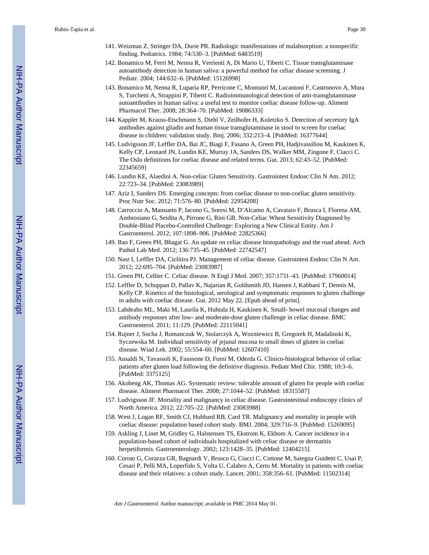- 141. Weizman Z, Stringer DA, Durie PR. Radiologic manifestations of malabsorption: a nonspecific finding. Pediatrics. 1984; 74:530–3. [PubMed: 6483519]
- 142. Bonamico M, Ferri M, Nenna R, Verrienti A, Di Mario U, Tiberti C. Tissue transglutaminase autoantibody detection in human saliva: a powerful method for celiac disease screening. J Pediatr. 2004; 144:632–6. [PubMed: 15126998]
- 143. Bonamico M, Nenna R, Luparia RP, Perricone C, Montuori M, Lucantoni F, Castronovo A, Mura S, Turchetti A, Strappini P, Tiberti C. Radioimmunological detection of anti-transglutaminase autoantibodies in human saliva: a useful test to monitor coeliac disease follow-up. Aliment Pharmacol Ther. 2008; 28:364–70. [PubMed: 19086333]
- 144. Kappler M, Krauss-Etschmann S, Diehl V, Zeilhofer H, Koletzko S. Detection of secretory IgA antibodies against gliadin and human tissue transglutaminase in stool to screen for coeliac disease in children: validation study. Bmj. 2006; 332:213–4. [PubMed: 16377644]
- 145. Ludvigsson JF, Leffler DA, Bai JC, Biagi F, Fasano A, Green PH, Hadjivassiliou M, Kaukinen K, Kelly CP, Leonard JN, Lundin KE, Murray JA, Sanders DS, Walker MM, Zingone F, Ciacci C. The Oslo definitions for coeliac disease and related terms. Gut. 2013; 62:43–52. [PubMed: 22345659]
- 146. Lundin KE, Alaedini A. Non-celiac Gluten Sensitivity. Gastrointest Endosc Clin N Am. 2012; 22:723–34. [PubMed: 23083989]
- 147. Aziz I, Sanders DS. Emerging concepts: from coeliac disease to non-coeliac gluten sensitivity. Proc Nutr Soc. 2012; 71:576–80. [PubMed: 22954208]
- 148. Carroccio A, Mansueto P, Iacono G, Soresi M, D'Alcamo A, Cavataio F, Brusca I, Florena AM, Ambrosiano G, Seidita A, Pirrone G, Rini GB. Non-Celiac Wheat Sensitivity Diagnosed by Double-Blind Placebo-Controlled Challenge: Exploring a New Clinical Entity. Am J Gastroenterol. 2012; 107:1898–906. [PubMed: 22825366]
- 149. Bao F, Green PH, Bhagat G. An update on celiac disease histopathology and the road ahead. Arch Pathol Lab Med. 2012; 136:735–45. [PubMed: 22742547]
- 150. Nasr I, Leffler DA, Ciclitira PJ. Management of celiac disease. Gastrointest Endosc Clin N Am. 2012; 22:695–704. [PubMed: 23083987]
- 151. Green PH, Cellier C. Celiac disease. N Engl J Med. 2007; 357:1731–43. [PubMed: 17960014]
- 152. Leffler D, Schuppan D, Pallav K, Najarian R, Goldsmith JD, Hansen J, Kabbani T, Dennis M, Kelly CP. Kinetics of the histological, serological and symptomatic responses to gluten challenge in adults with coeliac disease. Gut. 2012 May 22. [Epub ahead of print].
- 153. Lahdeaho ML, Maki M, Laurila K, Huhtala H, Kaukinen K. Small- bowel mucosal changes and antibody responses after low- and moderate-dose gluten challenge in celiac disease. BMC Gastroenterol. 2011; 11:129. [PubMed: 22115041]
- 154. Rujner J, Socha J, Romanczuk W, Stolarczyk A, Wozniewicz B, Gregorek H, Madalinski K, Syczewska M. Individual sensitivity of jejunal mucosa to small doses of gluten in coeliac disease. Wiad Lek. 2002; 55:554–60. [PubMed: 12607410]
- 155. Ansaldi N, Tavassoli K, Faussone D, Forni M, Oderda G. Clinico-histological behavior of celiac patients after gluten load following the definitive diagnosis. Pediatr Med Chir. 1988; 10:3–6. [PubMed: 3375125]
- 156. Akobeng AK, Thomas AG. Systematic review: tolerable amount of gluten for people with coeliac disease. Aliment Pharmacol Ther. 2008; 27:1044–52. [PubMed: 18315587]
- 157. Ludvigsson JF. Mortality and malignancy in celiac disease. Gastrointestinal endoscopy clinics of North America. 2012; 22:705–22. [PubMed: 23083988]
- 158. West J, Logan RF, Smith CJ, Hubbard RB, Card TR. Malignancy and mortality in people with coeliac disease: population based cohort study. BMJ. 2004; 329:716–9. [PubMed: 15269095]
- 159. Askling J, Linet M, Gridley G, Halstensen TS, Ekstrom K, Ekbom A. Cancer incidence in a population-based cohort of individuals hospitalized with celiac disease or dermatitis herpetiformis. Gastroenterology. 2002; 123:1428–35. [PubMed: 12404215]
- 160. Corrao G, Corazza GR, Bagnardi V, Brusco G, Ciacci C, Cottone M, Sategna Guidetti C, Usai P, Cesari P, Pelli MA, Loperfido S, Volta U, Calabro A, Certo M. Mortality in patients with coeliac disease and their relatives: a cohort study. Lancet. 2001; 358:356–61. [PubMed: 11502314]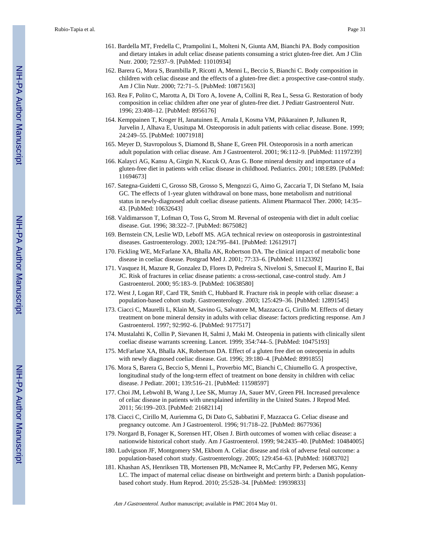- 161. Bardella MT, Fredella C, Prampolini L, Molteni N, Giunta AM, Bianchi PA. Body composition and dietary intakes in adult celiac disease patients consuming a strict gluten-free diet. Am J Clin Nutr. 2000; 72:937–9. [PubMed: 11010934]
- 162. Barera G, Mora S, Brambilla P, Ricotti A, Menni L, Beccio S, Bianchi C. Body composition in children with celiac disease and the effects of a gluten-free diet: a prospective case-control study. Am J Clin Nutr. 2000; 72:71–5. [PubMed: 10871563]
- 163. Rea F, Polito C, Marotta A, Di Toro A, Iovene A, Collini R, Rea L, Sessa G. Restoration of body composition in celiac children after one year of gluten-free diet. J Pediatr Gastroenterol Nutr. 1996; 23:408–12. [PubMed: 8956176]
- 164. Kemppainen T, Kroger H, Janatuinen E, Arnala I, Kosma VM, Pikkarainen P, Julkunen R, Jurvelin J, Alhava E, Uusitupa M. Osteoporosis in adult patients with celiac disease. Bone. 1999; 24:249–55. [PubMed: 10071918]
- 165. Meyer D, Stavropolous S, Diamond B, Shane E, Green PH. Osteoporosis in a north american adult population with celiac disease. Am J Gastroenterol. 2001; 96:112–9. [PubMed: 11197239]
- 166. Kalayci AG, Kansu A, Girgin N, Kucuk O, Aras G. Bone mineral density and importance of a gluten-free diet in patients with celiac disease in childhood. Pediatrics. 2001; 108:E89. [PubMed: 11694673]
- 167. Sategna-Guidetti C, Grosso SB, Grosso S, Mengozzi G, Aimo G, Zaccaria T, Di Stefano M, Isaia GC. The effects of 1-year gluten withdrawal on bone mass, bone metabolism and nutritional status in newly-diagnosed adult coeliac disease patients. Aliment Pharmacol Ther. 2000; 14:35– 43. [PubMed: 10632643]
- 168. Valdimarsson T, Lofman O, Toss G, Strom M. Reversal of osteopenia with diet in adult coeliac disease. Gut. 1996; 38:322–7. [PubMed: 8675082]
- 169. Bernstein CN, Leslie WD, Leboff MS. AGA technical review on osteoporosis in gastrointestinal diseases. Gastroenterology. 2003; 124:795–841. [PubMed: 12612917]
- 170. Fickling WE, McFarlane XA, Bhalla AK, Robertson DA. The clinical impact of metabolic bone disease in coeliac disease. Postgrad Med J. 2001; 77:33–6. [PubMed: 11123392]
- 171. Vasquez H, Mazure R, Gonzalez D, Flores D, Pedreira S, Niveloni S, Smecuol E, Maurino E, Bai JC. Risk of fractures in celiac disease patients: a cross-sectional, case-control study. Am J Gastroenterol. 2000; 95:183–9. [PubMed: 10638580]
- 172. West J, Logan RF, Card TR, Smith C, Hubbard R. Fracture risk in people with celiac disease: a population-based cohort study. Gastroenterology. 2003; 125:429–36. [PubMed: 12891545]
- 173. Ciacci C, Maurelli L, Klain M, Savino G, Salvatore M, Mazzacca G, Cirillo M. Effects of dietary treatment on bone mineral density in adults with celiac disease: factors predicting response. Am J Gastroenterol. 1997; 92:992–6. [PubMed: 9177517]
- 174. Mustalahti K, Collin P, Sievanen H, Salmi J, Maki M. Osteopenia in patients with clinically silent coeliac disease warrants screening. Lancet. 1999; 354:744–5. [PubMed: 10475193]
- 175. McFarlane XA, Bhalla AK, Robertson DA. Effect of a gluten free diet on osteopenia in adults with newly diagnosed coeliac disease. Gut. 1996; 39:180–4. [PubMed: 8991855]
- 176. Mora S, Barera G, Beccio S, Menni L, Proverbio MC, Bianchi C, Chiumello G. A prospective, longitudinal study of the long-term effect of treatment on bone density in children with celiac disease. J Pediatr. 2001; 139:516–21. [PubMed: 11598597]
- 177. Choi JM, Lebwohl B, Wang J, Lee SK, Murray JA, Sauer MV, Green PH. Increased prevalence of celiac disease in patients with unexplained infertility in the United States. J Reprod Med. 2011; 56:199–203. [PubMed: 21682114]
- 178. Ciacci C, Cirillo M, Auriemma G, Di Dato G, Sabbatini F, Mazzacca G. Celiac disease and pregnancy outcome. Am J Gastroenterol. 1996; 91:718–22. [PubMed: 8677936]
- 179. Norgard B, Fonager K, Sorensen HT, Olsen J. Birth outcomes of women with celiac disease: a nationwide historical cohort study. Am J Gastroenterol. 1999; 94:2435–40. [PubMed: 10484005]
- 180. Ludvigsson JF, Montgomery SM, Ekbom A. Celiac disease and risk of adverse fetal outcome: a population-based cohort study. Gastroenterology. 2005; 129:454–63. [PubMed: 16083702]
- 181. Khashan AS, Henriksen TB, Mortensen PB, McNamee R, McCarthy FP, Pedersen MG, Kenny LC. The impact of maternal celiac disease on birthweight and preterm birth: a Danish populationbased cohort study. Hum Reprod. 2010; 25:528–34. [PubMed: 19939833]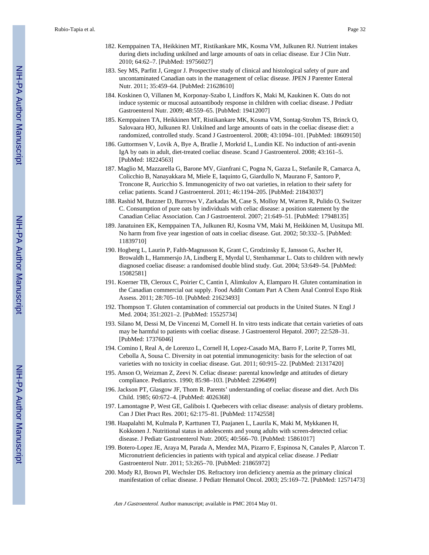- 182. Kemppainen TA, Heikkinen MT, Ristikankare MK, Kosma VM, Julkunen RJ. Nutrient intakes during diets including unkilned and large amounts of oats in celiac disease. Eur J Clin Nutr. 2010; 64:62–7. [PubMed: 19756027]
- 183. Sey MS, Parfitt J, Gregor J. Prospective study of clinical and histological safety of pure and uncontaminated Canadian oats in the management of celiac disease. JPEN J Parenter Enteral Nutr. 2011; 35:459–64. [PubMed: 21628610]
- 184. Koskinen O, Villanen M, Korponay-Szabo I, Lindfors K, Maki M, Kaukinen K. Oats do not induce systemic or mucosal autoantibody response in children with coeliac disease. J Pediatr Gastroenterol Nutr. 2009; 48:559–65. [PubMed: 19412007]
- 185. Kemppainen TA, Heikkinen MT, Ristikankare MK, Kosma VM, Sontag-Strohm TS, Brinck O, Salovaara HO, Julkunen RJ. Unkilned and large amounts of oats in the coeliac disease diet: a randomized, controlled study. Scand J Gastroenterol. 2008; 43:1094–101. [PubMed: 18609150]
- 186. Guttormsen V, Lovik A, Bye A, Bratlie J, Morkrid L, Lundin KE. No induction of anti-avenin IgA by oats in adult, diet-treated coeliac disease. Scand J Gastroenterol. 2008; 43:161–5. [PubMed: 18224563]
- 187. Maglio M, Mazzarella G, Barone MV, Gianfrani C, Pogna N, Gazza L, Stefanile R, Camarca A, Colicchio B, Nanayakkara M, Miele E, Iaquinto G, Giardullo N, Maurano F, Santoro P, Troncone R, Auricchio S. Immunogenicity of two oat varieties, in relation to their safety for celiac patients. Scand J Gastroenterol. 2011; 46:1194–205. [PubMed: 21843037]
- 188. Rashid M, Butzner D, Burrows V, Zarkadas M, Case S, Molloy M, Warren R, Pulido O, Switzer C. Consumption of pure oats by individuals with celiac disease: a position statement by the Canadian Celiac Association. Can J Gastroenterol. 2007; 21:649–51. [PubMed: 17948135]
- 189. Janatuinen EK, Kemppainen TA, Julkunen RJ, Kosma VM, Maki M, Heikkinen M, Uusitupa MI. No harm from five year ingestion of oats in coeliac disease. Gut. 2002; 50:332–5. [PubMed: 11839710]
- 190. Hogberg L, Laurin P, Falth-Magnusson K, Grant C, Grodzinsky E, Jansson G, Ascher H, Browaldh L, Hammersjo JA, Lindberg E, Myrdal U, Stenhammar L. Oats to children with newly diagnosed coeliac disease: a randomised double blind study. Gut. 2004; 53:649–54. [PubMed: 15082581]
- 191. Koerner TB, Cleroux C, Poirier C, Cantin I, Alimkulov A, Elamparo H. Gluten contamination in the Canadian commercial oat supply. Food Addit Contam Part A Chem Anal Control Expo Risk Assess. 2011; 28:705–10. [PubMed: 21623493]
- 192. Thompson T. Gluten contamination of commercial oat products in the United States. N Engl J Med. 2004; 351:2021–2. [PubMed: 15525734]
- 193. Silano M, Dessi M, De Vincenzi M, Cornell H. In vitro tests indicate that certain varieties of oats may be harmful to patients with coeliac disease. J Gastroenterol Hepatol. 2007; 22:528–31. [PubMed: 17376046]
- 194. Comino I, Real A, de Lorenzo L, Cornell H, Lopez-Casado MA, Barro F, Lorite P, Torres MI, Cebolla A, Sousa C. Diversity in oat potential immunogenicity: basis for the selection of oat varieties with no toxicity in coeliac disease. Gut. 2011; 60:915–22. [PubMed: 21317420]
- 195. Anson O, Weizman Z, Zeevi N. Celiac disease: parental knowledge and attitudes of dietary compliance. Pediatrics. 1990; 85:98–103. [PubMed: 2296499]
- 196. Jackson PT, Glasgow JF, Thom R. Parents' understanding of coeliac disease and diet. Arch Dis Child. 1985; 60:672–4. [PubMed: 4026368]
- 197. Lamontagne P, West GE, Galibois I. Quebecers with celiac disease: analysis of dietary problems. Can J Diet Pract Res. 2001; 62:175–81. [PubMed: 11742558]
- 198. Haapalahti M, Kulmala P, Karttunen TJ, Paajanen L, Laurila K, Maki M, Mykkanen H, Kokkonen J. Nutritional status in adolescents and young adults with screen-detected celiac disease. J Pediatr Gastroenterol Nutr. 2005; 40:566–70. [PubMed: 15861017]
- 199. Botero-Lopez JE, Araya M, Parada A, Mendez MA, Pizarro F, Espinosa N, Canales P, Alarcon T. Micronutrient deficiencies in patients with typical and atypical celiac disease. J Pediatr Gastroenterol Nutr. 2011; 53:265–70. [PubMed: 21865972]
- 200. Mody RJ, Brown PI, Wechsler DS. Refractory iron deficiency anemia as the primary clinical manifestation of celiac disease. J Pediatr Hematol Oncol. 2003; 25:169–72. [PubMed: 12571473]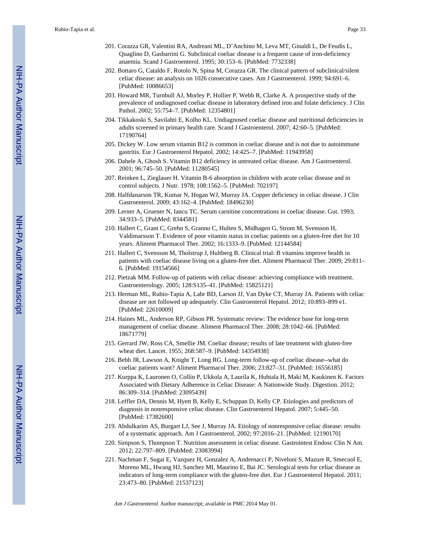- 201. Corazza GR, Valentini RA, Andreani ML, D'Anchino M, Leva MT, Ginaldi L, De Feudis L, Quaglino D, Gasbarrini G. Subclinical coeliac disease is a frequent cause of iron-deficiency anaemia. Scand J Gastroenterol. 1995; 30:153–6. [PubMed: 7732338]
- 202. Bottaro G, Cataldo F, Rotolo N, Spina M, Corazza GR. The clinical pattern of subclinical/silent celiac disease: an analysis on 1026 consecutive cases. Am J Gastroenterol. 1999; 94:691–6. [PubMed: 10086653]
- 203. Howard MR, Turnbull AJ, Morley P, Hollier P, Webb R, Clarke A. A prospective study of the prevalence of undiagnosed coeliac disease in laboratory defined iron and folate deficiency. J Clin Pathol. 2002; 55:754–7. [PubMed: 12354801]
- 204. Tikkakoski S, Savilahti E, Kolho KL. Undiagnosed coeliac disease and nutritional deficiencies in adults screened in primary health care. Scand J Gastroenterol. 2007; 42:60–5. [PubMed: 17190764]
- 205. Dickey W. Low serum vitamin B12 is common in coeliac disease and is not due to autoimmune gastritis. Eur J Gastroenterol Hepatol. 2002; 14:425–7. [PubMed: 11943958]
- 206. Dahele A, Ghosh S. Vitamin B12 deficiency in untreated celiac disease. Am J Gastroenterol. 2001; 96:745–50. [PubMed: 11280545]
- 207. Reinken L, Zieglauer H. Vitamin B-6 absorption in children with acute celiac disease and in control subjects. J Nutr. 1978; 108:1562–5. [PubMed: 702197]
- 208. Halfdanarson TR, Kumar N, Hogan WJ, Murray JA. Copper deficiency in celiac disease. J Clin Gastroenterol. 2009; 43:162–4. [PubMed: 18496230]
- 209. Lerner A, Gruener N, Iancu TC. Serum carnitine concentrations in coeliac disease. Gut. 1993; 34:933–5. [PubMed: 8344581]
- 210. Hallert C, Grant C, Grehn S, Granno C, Hulten S, Midhagen G, Strom M, Svensson H, Valdimarsson T. Evidence of poor vitamin status in coeliac patients on a gluten-free diet for 10 years. Aliment Pharmacol Ther. 2002; 16:1333–9. [PubMed: 12144584]
- 211. Hallert C, Svensson M, Tholstrup J, Hultberg B. Clinical trial: B vitamins improve health in patients with coeliac disease living on a gluten-free diet. Aliment Pharmacol Ther. 2009; 29:811– 6. [PubMed: 19154566]
- 212. Pietzak MM. Follow-up of patients with celiac disease: achieving compliance with treatment. Gastroenterology. 2005; 128:S135–41. [PubMed: 15825121]
- 213. Herman ML, Rubio-Tapia A, Lahr BD, Larson JJ, Van Dyke CT, Murray JA. Patients with celiac disease are not followed up adequately. Clin Gastroenterol Hepatol. 2012; 10:893–899 e1. [PubMed: 22610009]
- 214. Haines ML, Anderson RP, Gibson PR. Systematic review: The evidence base for long-term management of coeliac disease. Aliment Pharmacol Ther. 2008; 28:1042–66. [PubMed: 18671779]
- 215. Gerrard JW, Ross CA, Smellie JM. Coeliac disease; results of late treatment with gluten-free wheat diet. Lancet. 1955; 268:587–9. [PubMed: 14354938]
- 216. Bebb JR, Lawson A, Knight T, Long RG. Long-term follow-up of coeliac disease--what do coeliac patients want? Aliment Pharmacol Ther. 2006; 23:827–31. [PubMed: 16556185]
- 217. Kurppa K, Lauronen O, Collin P, Ukkola A, Laurila K, Huhtala H, Maki M, Kaukinen K. Factors Associated with Dietary Adherence in Celiac Disease: A Nationwide Study. Digestion. 2012; 86:309–314. [PubMed: 23095439]
- 218. Leffler DA, Dennis M, Hyett B, Kelly E, Schuppan D, Kelly CP. Etiologies and predictors of diagnosis in nonresponsive celiac disease. Clin Gastroenterol Hepatol. 2007; 5:445–50. [PubMed: 17382600]
- 219. Abdulkarim AS, Burgart LJ, See J, Murray JA. Etiology of nonresponsive celiac disease: results of a systematic approach. Am J Gastroenterol. 2002; 97:2016–21. [PubMed: 12190170]
- 220. Simpson S, Thompson T. Nutrition assessment in celiac disease. Gastrointest Endosc Clin N Am. 2012; 22:797–809. [PubMed: 23083994]
- 221. Nachman F, Sugai E, Vazquez H, Gonzalez A, Andrenacci P, Niveloni S, Mazure R, Smecuol E, Moreno ML, Hwang HJ, Sanchez MI, Maurino E, Bai JC. Serological tests for celiac disease as indicators of long-term compliance with the gluten-free diet. Eur J Gastroenterol Hepatol. 2011; 23:473–80. [PubMed: 21537123]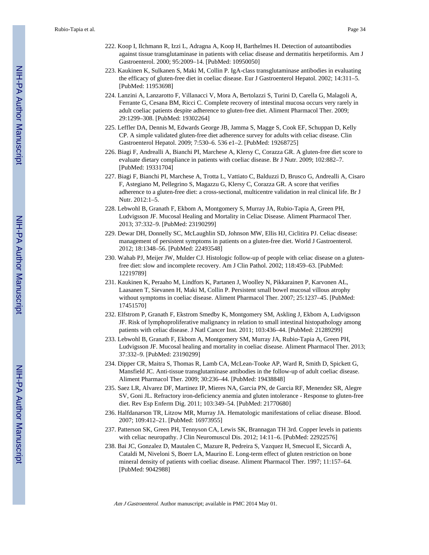- 222. Koop I, Ilchmann R, Izzi L, Adragna A, Koop H, Barthelmes H. Detection of autoantibodies against tissue transglutaminase in patients with celiac disease and dermatitis herpetiformis. Am J Gastroenterol. 2000; 95:2009–14. [PubMed: 10950050]
- 223. Kaukinen K, Sulkanen S, Maki M, Collin P. IgA-class transglutaminase antibodies in evaluating the efficacy of gluten-free diet in coeliac disease. Eur J Gastroenterol Hepatol. 2002; 14:311–5. [PubMed: 11953698]
- 224. Lanzini A, Lanzarotto F, Villanacci V, Mora A, Bertolazzi S, Turini D, Carella G, Malagoli A, Ferrante G, Cesana BM, Ricci C. Complete recovery of intestinal mucosa occurs very rarely in adult coeliac patients despite adherence to gluten-free diet. Aliment Pharmacol Ther. 2009; 29:1299–308. [PubMed: 19302264]
- 225. Leffler DA, Dennis M, Edwards George JB, Jamma S, Magge S, Cook EF, Schuppan D, Kelly CP. A simple validated gluten-free diet adherence survey for adults with celiac disease. Clin Gastroenterol Hepatol. 2009; 7:530–6. 536 e1–2. [PubMed: 19268725]
- 226. Biagi F, Andrealli A, Bianchi PI, Marchese A, Klersy C, Corazza GR. A gluten-free diet score to evaluate dietary compliance in patients with coeliac disease. Br J Nutr. 2009; 102:882–7. [PubMed: 19331704]
- 227. Biagi F, Bianchi PI, Marchese A, Trotta L, Vattiato C, Balduzzi D, Brusco G, Andrealli A, Cisaro F, Astegiano M, Pellegrino S, Magazzu G, Klersy C, Corazza GR. A score that verifies adherence to a gluten-free diet: a cross-sectional, multicentre validation in real clinical life. Br J Nutr. 2012:1–5.
- 228. Lebwohl B, Granath F, Ekbom A, Montgomery S, Murray JA, Rubio-Tapia A, Green PH, Ludvigsson JF. Mucosal Healing and Mortality in Celiac Disease. Aliment Pharmacol Ther. 2013; 37:332–9. [PubMed: 23190299]
- 229. Dewar DH, Donnelly SC, McLaughlin SD, Johnson MW, Ellis HJ, Ciclitira PJ. Celiac disease: management of persistent symptoms in patients on a gluten-free diet. World J Gastroenterol. 2012; 18:1348–56. [PubMed: 22493548]
- 230. Wahab PJ, Meijer JW, Mulder CJ. Histologic follow-up of people with celiac disease on a glutenfree diet: slow and incomplete recovery. Am J Clin Pathol. 2002; 118:459–63. [PubMed: 12219789]
- 231. Kaukinen K, Peraaho M, Lindfors K, Partanen J, Woolley N, Pikkarainen P, Karvonen AL, Laasanen T, Sievanen H, Maki M, Collin P. Persistent small bowel mucosal villous atrophy without symptoms in coeliac disease. Aliment Pharmacol Ther. 2007; 25:1237–45. [PubMed: 17451570]
- 232. Elfstrom P, Granath F, Ekstrom Smedby K, Montgomery SM, Askling J, Ekbom A, Ludvigsson JF. Risk of lymphoproliferative malignancy in relation to small intestinal histopathology among patients with celiac disease. J Natl Cancer Inst. 2011; 103:436–44. [PubMed: 21289299]
- 233. Lebwohl B, Granath F, Ekbom A, Montgomery SM, Murray JA, Rubio-Tapia A, Green PH, Ludvigsson JF. Mucosal healing and mortality in coeliac disease. Aliment Pharmacol Ther. 2013; 37:332–9. [PubMed: 23190299]
- 234. Dipper CR, Maitra S, Thomas R, Lamb CA, McLean-Tooke AP, Ward R, Smith D, Spickett G, Mansfield JC. Anti-tissue transglutaminase antibodies in the follow-up of adult coeliac disease. Aliment Pharmacol Ther. 2009; 30:236–44. [PubMed: 19438848]
- 235. Saez LR, Alvarez DF, Martinez IP, Mieres NA, Garcia PN, de Garcia RF, Menendez SR, Alegre SV, Goni JL. Refractory iron-deficiency anemia and gluten intolerance - Response to gluten-free diet. Rev Esp Enferm Dig. 2011; 103:349–54. [PubMed: 21770680]
- 236. Halfdanarson TR, Litzow MR, Murray JA. Hematologic manifestations of celiac disease. Blood. 2007; 109:412–21. [PubMed: 16973955]
- 237. Patterson SK, Green PH, Tennyson CA, Lewis SK, Brannagan TH 3rd. Copper levels in patients with celiac neuropathy. J Clin Neuromuscul Dis. 2012; 14:11–6. [PubMed: 22922576]
- 238. Bai JC, Gonzalez D, Mautalen C, Mazure R, Pedreira S, Vazquez H, Smecuol E, Siccardi A, Cataldi M, Niveloni S, Boerr LA, Maurino E. Long-term effect of gluten restriction on bone mineral density of patients with coeliac disease. Aliment Pharmacol Ther. 1997; 11:157–64. [PubMed: 9042988]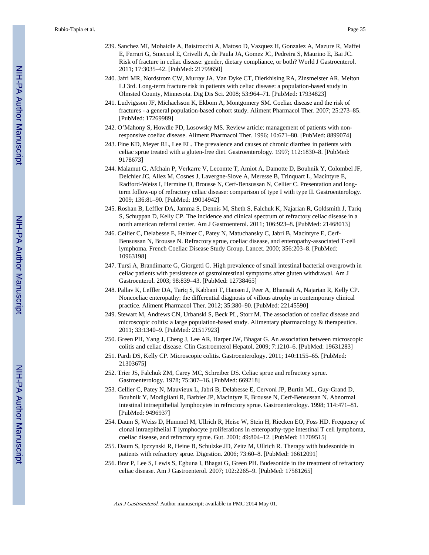- 239. Sanchez MI, Mohaidle A, Baistrocchi A, Matoso D, Vazquez H, Gonzalez A, Mazure R, Maffei E, Ferrari G, Smecuol E, Crivelli A, de Paula JA, Gomez JC, Pedreira S, Maurino E, Bai JC. Risk of fracture in celiac disease: gender, dietary compliance, or both? World J Gastroenterol. 2011; 17:3035–42. [PubMed: 21799650]
- 240. Jafri MR, Nordstrom CW, Murray JA, Van Dyke CT, Dierkhising RA, Zinsmeister AR, Melton LJ 3rd. Long-term fracture risk in patients with celiac disease: a population-based study in Olmsted County, Minnesota. Dig Dis Sci. 2008; 53:964–71. [PubMed: 17934823]
- 241. Ludvigsson JF, Michaelsson K, Ekbom A, Montgomery SM. Coeliac disease and the risk of fractures - a general population-based cohort study. Aliment Pharmacol Ther. 2007; 25:273–85. [PubMed: 17269989]
- 242. O'Mahony S, Howdle PD, Losowsky MS. Review article: management of patients with nonresponsive coeliac disease. Aliment Pharmacol Ther. 1996; 10:671–80. [PubMed: 8899074]
- 243. Fine KD, Meyer RL, Lee EL. The prevalence and causes of chronic diarrhea in patients with celiac sprue treated with a gluten-free diet. Gastroenterology. 1997; 112:1830–8. [PubMed: 9178673]
- 244. Malamut G, Afchain P, Verkarre V, Lecomte T, Amiot A, Damotte D, Bouhnik Y, Colombel JF, Delchier JC, Allez M, Cosnes J, Lavergne-Slove A, Meresse B, Trinquart L, Macintyre E, Radford-Weiss I, Hermine O, Brousse N, Cerf-Bensussan N, Cellier C. Presentation and longterm follow-up of refractory celiac disease: comparison of type I with type II. Gastroenterology. 2009; 136:81–90. [PubMed: 19014942]
- 245. Roshan B, Leffler DA, Jamma S, Dennis M, Sheth S, Falchuk K, Najarian R, Goldsmith J, Tariq S, Schuppan D, Kelly CP. The incidence and clinical spectrum of refractory celiac disease in a north american referral center. Am J Gastroenterol. 2011; 106:923–8. [PubMed: 21468013]
- 246. Cellier C, Delabesse E, Helmer C, Patey N, Matuchansky C, Jabri B, Macintyre E, Cerf-Bensussan N, Brousse N. Refractory sprue, coeliac disease, and enteropathy-associated T-cell lymphoma. French Coeliac Disease Study Group. Lancet. 2000; 356:203–8. [PubMed: 10963198]
- 247. Tursi A, Brandimarte G, Giorgetti G. High prevalence of small intestinal bacterial overgrowth in celiac patients with persistence of gastrointestinal symptoms after gluten withdrawal. Am J Gastroenterol. 2003; 98:839–43. [PubMed: 12738465]
- 248. Pallav K, Leffler DA, Tariq S, Kabbani T, Hansen J, Peer A, Bhansali A, Najarian R, Kelly CP. Noncoeliac enteropathy: the differential diagnosis of villous atrophy in contemporary clinical practice. Aliment Pharmacol Ther. 2012; 35:380–90. [PubMed: 22145590]
- 249. Stewart M, Andrews CN, Urbanski S, Beck PL, Storr M. The association of coeliac disease and microscopic colitis: a large population-based study. Alimentary pharmacology & therapeutics. 2011; 33:1340–9. [PubMed: 21517923]
- 250. Green PH, Yang J, Cheng J, Lee AR, Harper JW, Bhagat G. An association between microscopic colitis and celiac disease. Clin Gastroenterol Hepatol. 2009; 7:1210–6. [PubMed: 19631283]
- 251. Pardi DS, Kelly CP. Microscopic colitis. Gastroenterology. 2011; 140:1155–65. [PubMed: 21303675]
- 252. Trier JS, Falchuk ZM, Carey MC, Schreiber DS. Celiac sprue and refractory sprue. Gastroenterology. 1978; 75:307–16. [PubMed: 669218]
- 253. Cellier C, Patey N, Mauvieux L, Jabri B, Delabesse E, Cervoni JP, Burtin ML, Guy-Grand D, Bouhnik Y, Modigliani R, Barbier JP, Macintyre E, Brousse N, Cerf-Bensussan N. Abnormal intestinal intraepithelial lymphocytes in refractory sprue. Gastroenterology. 1998; 114:471–81. [PubMed: 9496937]
- 254. Daum S, Weiss D, Hummel M, Ullrich R, Heise W, Stein H, Riecken EO, Foss HD. Frequency of clonal intraepithelial T lymphocyte proliferations in enteropathy-type intestinal T cell lymphoma, coeliac disease, and refractory sprue. Gut. 2001; 49:804–12. [PubMed: 11709515]
- 255. Daum S, Ipczynski R, Heine B, Schulzke JD, Zeitz M, Ullrich R. Therapy with budesonide in patients with refractory sprue. Digestion. 2006; 73:60–8. [PubMed: 16612091]
- 256. Brar P, Lee S, Lewis S, Egbuna I, Bhagat G, Green PH. Budesonide in the treatment of refractory celiac disease. Am J Gastroenterol. 2007; 102:2265–9. [PubMed: 17581265]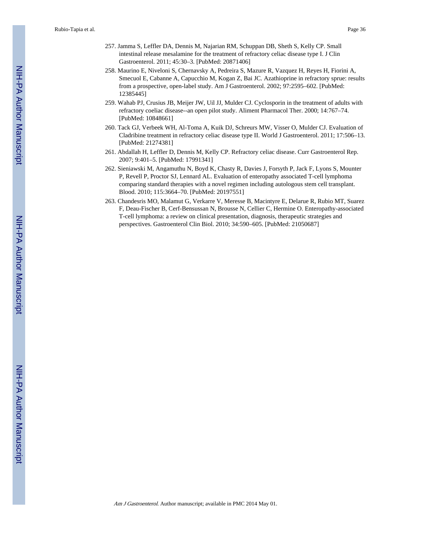- 257. Jamma S, Leffler DA, Dennis M, Najarian RM, Schuppan DB, Sheth S, Kelly CP. Small intestinal release mesalamine for the treatment of refractory celiac disease type I. J Clin Gastroenterol. 2011; 45:30–3. [PubMed: 20871406]
- 258. Maurino E, Niveloni S, Chernavsky A, Pedreira S, Mazure R, Vazquez H, Reyes H, Fiorini A, Smecuol E, Cabanne A, Capucchio M, Kogan Z, Bai JC. Azathioprine in refractory sprue: results from a prospective, open-label study. Am J Gastroenterol. 2002; 97:2595–602. [PubMed: 12385445]
- 259. Wahab PJ, Crusius JB, Meijer JW, Uil JJ, Mulder CJ. Cyclosporin in the treatment of adults with refractory coeliac disease--an open pilot study. Aliment Pharmacol Ther. 2000; 14:767–74. [PubMed: 10848661]
- 260. Tack GJ, Verbeek WH, Al-Toma A, Kuik DJ, Schreurs MW, Visser O, Mulder CJ. Evaluation of Cladribine treatment in refractory celiac disease type II. World J Gastroenterol. 2011; 17:506–13. [PubMed: 21274381]
- 261. Abdallah H, Leffler D, Dennis M, Kelly CP. Refractory celiac disease. Curr Gastroenterol Rep. 2007; 9:401–5. [PubMed: 17991341]
- 262. Sieniawski M, Angamuthu N, Boyd K, Chasty R, Davies J, Forsyth P, Jack F, Lyons S, Mounter P, Revell P, Proctor SJ, Lennard AL. Evaluation of enteropathy associated T-cell lymphoma comparing standard therapies with a novel regimen including autologous stem cell transplant. Blood. 2010; 115:3664–70. [PubMed: 20197551]
- 263. Chandesris MO, Malamut G, Verkarre V, Meresse B, Macintyre E, Delarue R, Rubio MT, Suarez F, Deau-Fischer B, Cerf-Bensussan N, Brousse N, Cellier C, Hermine O. Enteropathy-associated T-cell lymphoma: a review on clinical presentation, diagnosis, therapeutic strategies and perspectives. Gastroenterol Clin Biol. 2010; 34:590–605. [PubMed: 21050687]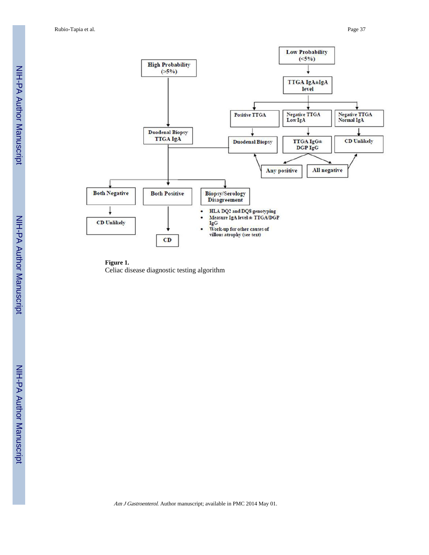Rubio-Tapia et al. Page 37



**Figure 1.** Celiac disease diagnostic testing algorithm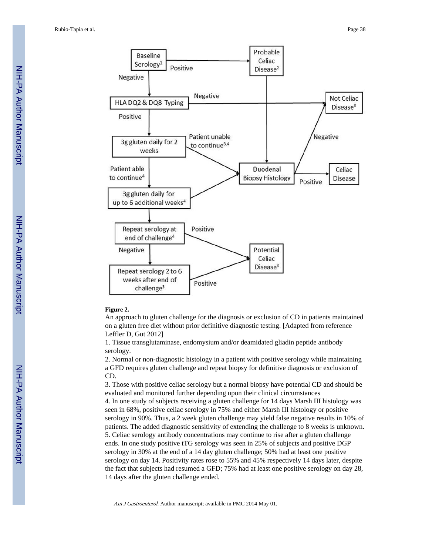Rubio-Tapia et al. Page 38



#### **Figure 2.**

An approach to gluten challenge for the diagnosis or exclusion of CD in patients maintained on a gluten free diet without prior definitive diagnostic testing. [Adapted from reference Leffler D, Gut 2012]

1. Tissue transglutaminase, endomysium and/or deamidated gliadin peptide antibody serology.

2. Normal or non-diagnostic histology in a patient with positive serology while maintaining a GFD requires gluten challenge and repeat biopsy for definitive diagnosis or exclusion of CD.

3. Those with positive celiac serology but a normal biopsy have potential CD and should be evaluated and monitored further depending upon their clinical circumstances

4. In one study of subjects receiving a gluten challenge for 14 days Marsh III histology was seen in 68%, positive celiac serology in 75% and either Marsh III histology or positive serology in 90%. Thus, a 2 week gluten challenge may yield false negative results in 10% of patients. The added diagnostic sensitivity of extending the challenge to 8 weeks is unknown. 5. Celiac serology antibody concentrations may continue to rise after a gluten challenge ends. In one study positive tTG serology was seen in 25% of subjects and positive DGP serology in 30% at the end of a 14 day gluten challenge; 50% had at least one positive serology on day 14. Positivity rates rose to 55% and 45% respectively 14 days later, despite the fact that subjects had resumed a GFD; 75% had at least one positive serology on day 28, 14 days after the gluten challenge ended.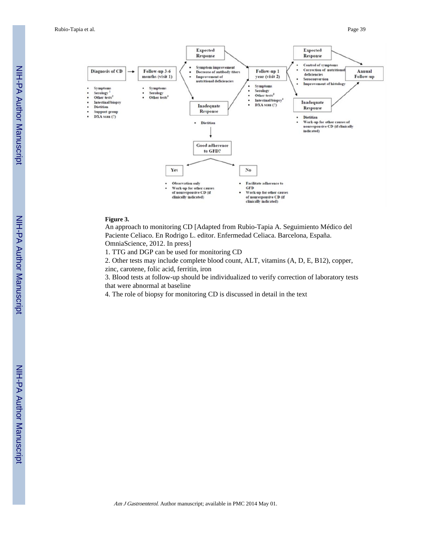

#### **Figure 3.**

An approach to monitoring CD [Adapted from Rubio-Tapia A. Seguimiento Médico del Paciente Celiaco. En Rodrigo L. editor. Enfermedad Celiaca. Barcelona, España. OmniaScience, 2012. In press]

1. TTG and DGP can be used for monitoring CD

2. Other tests may include complete blood count, ALT, vitamins (A, D, E, B12), copper, zinc, carotene, folic acid, ferritin, iron

3. Blood tests at follow-up should be individualized to verify correction of laboratory tests that were abnormal at baseline

4. The role of biopsy for monitoring CD is discussed in detail in the text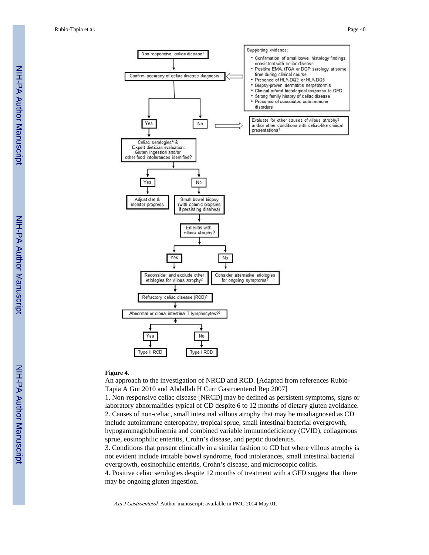

#### **Figure 4.**

An approach to the investigation of NRCD and RCD. [Adapted from references Rubio-Tapia A Gut 2010 and Abdallah H Curr Gastroenterol Rep 2007]

1. Non-responsive celiac disease [NRCD] may be defined as persistent symptoms, signs or laboratory abnormalities typical of CD despite 6 to 12 months of dietary gluten avoidance. 2. Causes of non-celiac, small intestinal villous atrophy that may be misdiagnosed as CD include autoimmune enteropathy, tropical sprue, small intestinal bacterial overgrowth, hypogammaglobulinemia and combined variable immunodeficiency (CVID), collagenous sprue, eosinophilic enteritis, Crohn's disease, and peptic duodenitis.

3. Conditions that present clinically in a similar fashion to CD but where villous atrophy is not evident include irritable bowel syndrome, food intolerances, small intestinal bacterial overgrowth, eosinophilic enteritis, Crohn's disease, and microscopic colitis.

4. Positive celiac serologies despite 12 months of treatment with a GFD suggest that there may be ongoing gluten ingestion.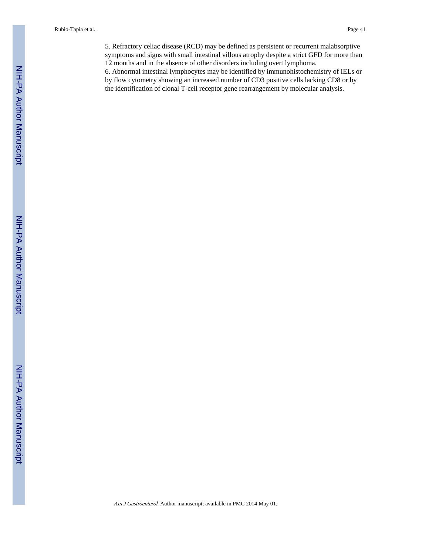Rubio-Tapia et al. Page 41

5. Refractory celiac disease (RCD) may be defined as persistent or recurrent malabsorptive symptoms and signs with small intestinal villous atrophy despite a strict GFD for more than 12 months and in the absence of other disorders including overt lymphoma.

6. Abnormal intestinal lymphocytes may be identified by immunohistochemistry of IELs or by flow cytometry showing an increased number of CD3 positive cells lacking CD8 or by the identification of clonal T-cell receptor gene rearrangement by molecular analysis.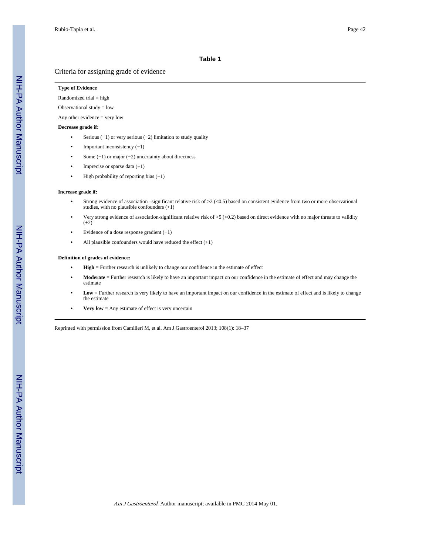#### Criteria for assigning grade of evidence

#### **Type of Evidence**

Randomized trial = high

Observational study = low

Any other evidence = very low

#### **Decrease grade if:**

- **•** Serious (−1) or very serious (−2) limitation to study quality
- **•** Important inconsistency (−1)
- **•** Some (−1) or major (−2) uncertainty about directness
- **•** Imprecise or sparse data (−1)
- **•** High probability of reporting bias (−1)

#### **Increase grade if:**

- **•** Strong evidence of association –significant relative risk of >2 (<0.5) based on consistent evidence from two or more observational studies, with no plausible confounders (+1)
- **•** Very strong evidence of association-significant relative risk of >5 (<0.2) based on direct evidence with no major threats to validity  $(+2)$
- **•** Evidence of a dose response gradient (+1)
- All plausible confounders would have reduced the effect  $(+1)$

#### **Definition of grades of evidence:**

- **High** = Further research is unlikely to change our confidence in the estimate of effect
- **Moderate** = Further research is likely to have an important impact on our confidence in the estimate of effect and may change the estimate
- **Low** = Further research is very likely to have an important impact on our confidence in the estimate of effect and is likely to change the estimate
- **Very low** = Any estimate of effect is very uncertain

Reprinted with permission from Camilleri M, et al. Am J Gastroenterol 2013; 108(1): 18–37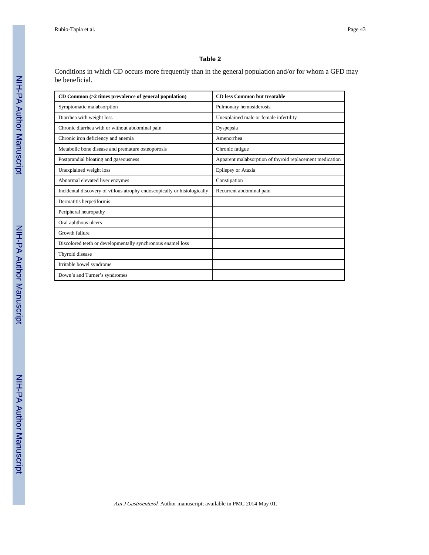Conditions in which CD occurs more frequently than in the general population and/or for whom a GFD may be beneficial.

| $CD$ Common ( $>2$ times prevalence of general population)               | <b>CD</b> less Common but treatable                      |  |  |
|--------------------------------------------------------------------------|----------------------------------------------------------|--|--|
| Symptomatic malabsorption                                                | Pulmonary hemosiderosis                                  |  |  |
| Diarrhea with weight loss                                                | Unexplained male or female infertility                   |  |  |
| Chronic diarrhea with or without abdominal pain                          | Dyspepsia                                                |  |  |
| Chronic iron deficiency and anemia                                       | Amenorrhea                                               |  |  |
| Metabolic bone disease and premature osteoporosis                        | Chronic fatigue                                          |  |  |
| Postprandial bloating and gaseousness                                    | Apparent malabsorption of thyroid replacement medication |  |  |
| Unexplained weight loss                                                  | Epilepsy or Ataxia                                       |  |  |
| Abnormal elevated liver enzymes                                          | Constipation                                             |  |  |
| Incidental discovery of villous atrophy endoscopically or histologically | Recurrent abdominal pain                                 |  |  |
| Dermatitis herpetiformis                                                 |                                                          |  |  |
| Peripheral neuropathy                                                    |                                                          |  |  |
| Oral aphthous ulcers                                                     |                                                          |  |  |
| Growth failure                                                           |                                                          |  |  |
| Discolored teeth or developmentally synchronous enamel loss              |                                                          |  |  |
| Thyroid disease                                                          |                                                          |  |  |
| Irritable bowel syndrome                                                 |                                                          |  |  |
| Down's and Turner's syndromes                                            |                                                          |  |  |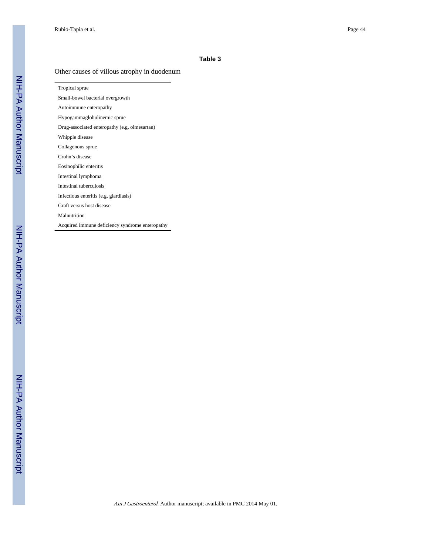#### Other causes of villous atrophy in duodenum

| Tropical sprue                   |
|----------------------------------|
| Small-bowel bacterial overgrowth |

Autoimmune enteropathy

Hypogammaglobulinemic sprue

Drug-associated enteropathy (e.g. olmesartan)

Whipple disease

Collagenous sprue

Crohn's disease

Eosinophilic enteritis

Intestinal lymphoma

Intestinal tuberculosis

Infectious enteritis (e.g. giardiasis)

Graft versus host disease

Malnutrition

Acquired immune deficiency syndrome enteropathy